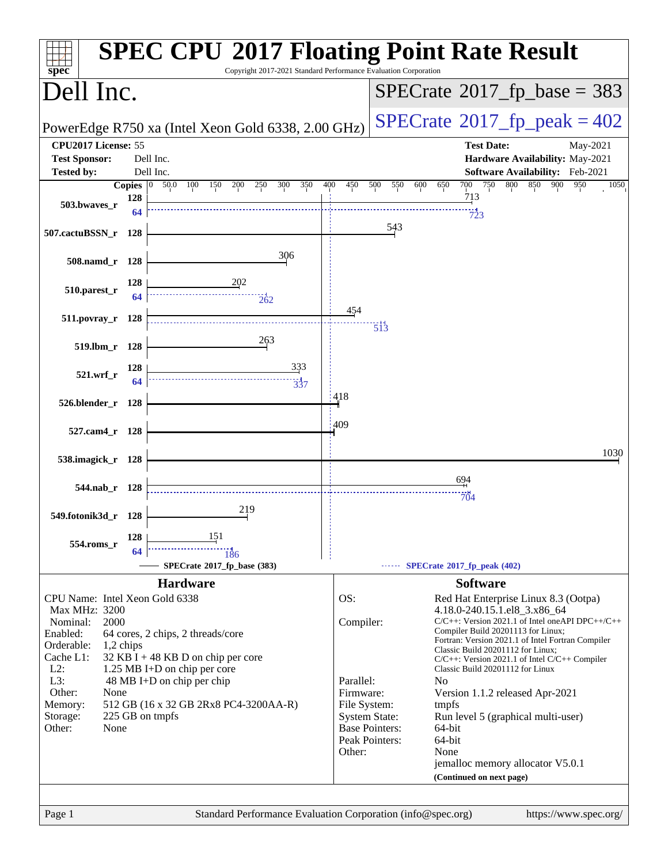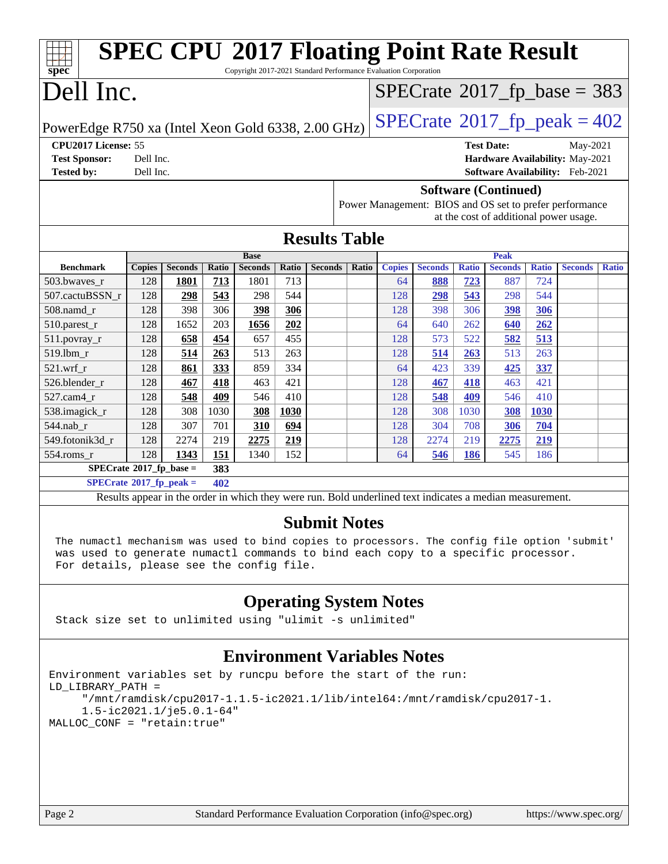| <b>SPEC CPU®2017 Floating Point Rate Result</b><br>Copyright 2017-2021 Standard Performance Evaluation Corporation<br>spec <sup>®</sup>                                                                                                                                      |               |                |       |                               |             |                      |       |               |                                                                                                          |              |                                 |              |                |              |
|------------------------------------------------------------------------------------------------------------------------------------------------------------------------------------------------------------------------------------------------------------------------------|---------------|----------------|-------|-------------------------------|-------------|----------------------|-------|---------------|----------------------------------------------------------------------------------------------------------|--------------|---------------------------------|--------------|----------------|--------------|
| Dell Inc.<br>$SPECTate@2017_fp\_base = 383$                                                                                                                                                                                                                                  |               |                |       |                               |             |                      |       |               |                                                                                                          |              |                                 |              |                |              |
| PowerEdge R750 xa (Intel Xeon Gold 6338, 2.00 GHz)                                                                                                                                                                                                                           |               |                |       |                               |             |                      |       |               | $SPECTate@2017_fp\_peak = 402$                                                                           |              |                                 |              |                |              |
| CPU2017 License: 55                                                                                                                                                                                                                                                          |               |                |       |                               |             |                      |       |               |                                                                                                          |              | <b>Test Date:</b>               |              | May-2021       |              |
| <b>Test Sponsor:</b>                                                                                                                                                                                                                                                         | Dell Inc.     |                |       |                               |             |                      |       |               |                                                                                                          |              | Hardware Availability: May-2021 |              |                |              |
| <b>Tested by:</b>                                                                                                                                                                                                                                                            | Dell Inc.     |                |       |                               |             |                      |       |               |                                                                                                          |              | Software Availability: Feb-2021 |              |                |              |
| <b>Software (Continued)</b><br>Power Management: BIOS and OS set to prefer performance<br>at the cost of additional power usage.                                                                                                                                             |               |                |       |                               |             |                      |       |               |                                                                                                          |              |                                 |              |                |              |
|                                                                                                                                                                                                                                                                              |               |                |       |                               |             | <b>Results Table</b> |       |               |                                                                                                          |              |                                 |              |                |              |
| <b>Benchmark</b>                                                                                                                                                                                                                                                             | <b>Copies</b> | <b>Seconds</b> | Ratio | <b>Base</b><br><b>Seconds</b> | Ratio       | <b>Seconds</b>       | Ratio | <b>Copies</b> | <b>Seconds</b>                                                                                           | <b>Ratio</b> | <b>Peak</b><br><b>Seconds</b>   | <b>Ratio</b> | <b>Seconds</b> | <b>Ratio</b> |
| 503.bwaves_r                                                                                                                                                                                                                                                                 | 128           | 1801           | 713   | 1801                          | 713         |                      |       | 64            | 888                                                                                                      | 723          | 887                             | 724          |                |              |
| 507.cactuBSSN_r                                                                                                                                                                                                                                                              | 128           | 298            | 543   | 298                           | 544         |                      |       | 128           | 298                                                                                                      | 543          | 298                             | 544          |                |              |
| 508.namd_r                                                                                                                                                                                                                                                                   | 128           | 398            | 306   | 398                           | 306         |                      |       | 128           | 398                                                                                                      | 306          | 398                             | <b>306</b>   |                |              |
| 510.parest_r                                                                                                                                                                                                                                                                 | 128           | 1652           | 203   | 1656                          | 202         |                      |       | 64            | 640                                                                                                      | 262          | 640                             | 262          |                |              |
| 511.povray_r                                                                                                                                                                                                                                                                 | 128           | 658            | 454   | 657                           | 455         |                      |       | 128           | 573                                                                                                      | 522          | 582                             | 513          |                |              |
| 519.lbm r                                                                                                                                                                                                                                                                    | 128           | 514            | 263   | 513                           | 263         |                      |       | 128           | 514                                                                                                      | 263          | 513                             | 263          |                |              |
| 521.wrf                                                                                                                                                                                                                                                                      | 128           | 861            | 333   | 859                           | 334         |                      |       | 64            | 423                                                                                                      | 339          | 425                             | 337          |                |              |
| 526.blender_r                                                                                                                                                                                                                                                                | 128           | 467            | 418   | 463                           | 421         |                      |       | 128           | 467                                                                                                      | 418          | 463                             | 421          |                |              |
| 527.cam4_r                                                                                                                                                                                                                                                                   | 128           | 548            | 409   | 546                           | 410         |                      |       | 128           | 548                                                                                                      | 409          | 546                             | 410          |                |              |
| 538.imagick_r                                                                                                                                                                                                                                                                | 128           | 308            | 1030  | 308                           | <b>1030</b> |                      |       | 128           | 308                                                                                                      | 1030         | 308                             | <b>1030</b>  |                |              |
| 544.nab_r                                                                                                                                                                                                                                                                    | 128           | 307            | 701   | 310                           | 694         |                      |       | 128           | 304                                                                                                      | 708          | <b>306</b>                      | 704          |                |              |
| 549.fotonik3d_r                                                                                                                                                                                                                                                              | 128           | 2274           | 219   | 2275                          | 219         |                      |       | 128           | 2274                                                                                                     | 219          | 2275                            | 219          |                |              |
| 554.roms_r                                                                                                                                                                                                                                                                   | 128           | 1343           | 151   | 1340                          | 152         |                      |       | 64            | 546                                                                                                      | 186          | 545                             | 186          |                |              |
| $SPECrate^*2017_fp\_base =$                                                                                                                                                                                                                                                  |               |                | 383   |                               |             |                      |       |               |                                                                                                          |              |                                 |              |                |              |
| $SPECrate^*2017_fp_peak =$                                                                                                                                                                                                                                                   |               |                | 402   |                               |             |                      |       |               |                                                                                                          |              |                                 |              |                |              |
|                                                                                                                                                                                                                                                                              |               |                |       |                               |             |                      |       |               | Results appear in the order in which they were run. Bold underlined text indicates a median measurement. |              |                                 |              |                |              |
| <b>Submit Notes</b><br>The numactl mechanism was used to bind copies to processors. The config file option 'submit'<br>was used to generate numactl commands to bind each copy to a specific processor.<br>For details, please see the config file.                          |               |                |       |                               |             |                      |       |               |                                                                                                          |              |                                 |              |                |              |
| <b>Operating System Notes</b><br>Stack size set to unlimited using "ulimit -s unlimited"                                                                                                                                                                                     |               |                |       |                               |             |                      |       |               |                                                                                                          |              |                                 |              |                |              |
| <b>Environment Variables Notes</b><br>Environment variables set by runcpu before the start of the run:<br>LD LIBRARY PATH =<br>"/mnt/ramdisk/cpu2017-1.1.5-ic2021.1/lib/intel64:/mnt/ramdisk/cpu2017-1.<br>$1.5 - i c 2021.1/j e 5.0.1 - 64"$<br>MALLOC_CONF = "retain:true" |               |                |       |                               |             |                      |       |               |                                                                                                          |              |                                 |              |                |              |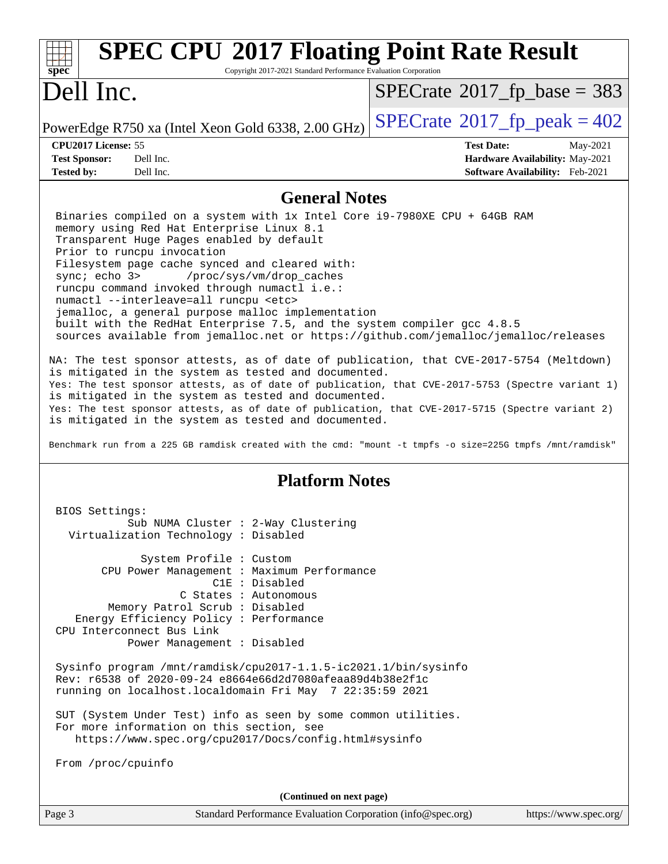| <b>SPEC CPU®2017 Floating Point Rate Result</b><br>Copyright 2017-2021 Standard Performance Evaluation Corporation<br>spec <sup>®</sup>                                                                                                                                                                                                                                                                                                                                                                                                                                                                                                                                                                                                                                                                                                                                                                                                                                                                                                                                                                    |                                                                                                     |  |  |  |
|------------------------------------------------------------------------------------------------------------------------------------------------------------------------------------------------------------------------------------------------------------------------------------------------------------------------------------------------------------------------------------------------------------------------------------------------------------------------------------------------------------------------------------------------------------------------------------------------------------------------------------------------------------------------------------------------------------------------------------------------------------------------------------------------------------------------------------------------------------------------------------------------------------------------------------------------------------------------------------------------------------------------------------------------------------------------------------------------------------|-----------------------------------------------------------------------------------------------------|--|--|--|
| Dell Inc.                                                                                                                                                                                                                                                                                                                                                                                                                                                                                                                                                                                                                                                                                                                                                                                                                                                                                                                                                                                                                                                                                                  | $SPECrate^{\circ}2017$ fp base = 383                                                                |  |  |  |
| PowerEdge R750 xa (Intel Xeon Gold 6338, 2.00 GHz)                                                                                                                                                                                                                                                                                                                                                                                                                                                                                                                                                                                                                                                                                                                                                                                                                                                                                                                                                                                                                                                         | $SPECTate^{\circ}2017$ _fp_peak = 402                                                               |  |  |  |
| CPU2017 License: 55<br>Dell Inc.<br><b>Test Sponsor:</b><br>Dell Inc.<br><b>Tested by:</b>                                                                                                                                                                                                                                                                                                                                                                                                                                                                                                                                                                                                                                                                                                                                                                                                                                                                                                                                                                                                                 | <b>Test Date:</b><br>May-2021<br>Hardware Availability: May-2021<br>Software Availability: Feb-2021 |  |  |  |
| <b>General Notes</b>                                                                                                                                                                                                                                                                                                                                                                                                                                                                                                                                                                                                                                                                                                                                                                                                                                                                                                                                                                                                                                                                                       |                                                                                                     |  |  |  |
| Binaries compiled on a system with 1x Intel Core i9-7980XE CPU + 64GB RAM<br>memory using Red Hat Enterprise Linux 8.1<br>Transparent Huge Pages enabled by default<br>Prior to runcpu invocation<br>Filesystem page cache synced and cleared with:<br>/proc/sys/vm/drop_caches<br>sync; echo 3><br>runcpu command invoked through numactl i.e.:<br>numactl --interleave=all runcpu <etc><br/>jemalloc, a general purpose malloc implementation<br/>built with the RedHat Enterprise 7.5, and the system compiler gcc 4.8.5<br/>sources available from jemalloc.net or https://github.com/jemalloc/jemalloc/releases<br/>NA: The test sponsor attests, as of date of publication, that CVE-2017-5754 (Meltdown)<br/>is mitigated in the system as tested and documented.<br/>Yes: The test sponsor attests, as of date of publication, that CVE-2017-5753 (Spectre variant 1)<br/>is mitigated in the system as tested and documented.<br/>Yes: The test sponsor attests, as of date of publication, that CVE-2017-5715 (Spectre variant 2)<br/>is mitigated in the system as tested and documented.</etc> |                                                                                                     |  |  |  |
| <b>Platform Notes</b>                                                                                                                                                                                                                                                                                                                                                                                                                                                                                                                                                                                                                                                                                                                                                                                                                                                                                                                                                                                                                                                                                      |                                                                                                     |  |  |  |
| BIOS Settings:<br>Sub NUMA Cluster : 2-Way Clustering<br>Virtualization Technology : Disabled                                                                                                                                                                                                                                                                                                                                                                                                                                                                                                                                                                                                                                                                                                                                                                                                                                                                                                                                                                                                              |                                                                                                     |  |  |  |
| System Profile : Custom<br>CPU Power Management : Maximum Performance<br>C1E : Disabled<br>C States : Autonomous<br>Memory Patrol Scrub : Disabled<br>Energy Efficiency Policy : Performance<br>CPU Interconnect Bus Link<br>Power Management : Disabled<br>Sysinfo program /mnt/ramdisk/cpu2017-1.1.5-ic2021.1/bin/sysinfo<br>Rev: r6538 of 2020-09-24 e8664e66d2d7080afeaa89d4b38e2f1c<br>running on localhost.localdomain Fri May 7 22:35:59 2021<br>SUT (System Under Test) info as seen by some common utilities.                                                                                                                                                                                                                                                                                                                                                                                                                                                                                                                                                                                     |                                                                                                     |  |  |  |
| For more information on this section, see<br>https://www.spec.org/cpu2017/Docs/config.html#sysinfo<br>From /proc/cpuinfo                                                                                                                                                                                                                                                                                                                                                                                                                                                                                                                                                                                                                                                                                                                                                                                                                                                                                                                                                                                   |                                                                                                     |  |  |  |
|                                                                                                                                                                                                                                                                                                                                                                                                                                                                                                                                                                                                                                                                                                                                                                                                                                                                                                                                                                                                                                                                                                            |                                                                                                     |  |  |  |
| (Continued on next page)                                                                                                                                                                                                                                                                                                                                                                                                                                                                                                                                                                                                                                                                                                                                                                                                                                                                                                                                                                                                                                                                                   |                                                                                                     |  |  |  |
| Page 3<br>Standard Performance Evaluation Corporation (info@spec.org)                                                                                                                                                                                                                                                                                                                                                                                                                                                                                                                                                                                                                                                                                                                                                                                                                                                                                                                                                                                                                                      | https://www.spec.org/                                                                               |  |  |  |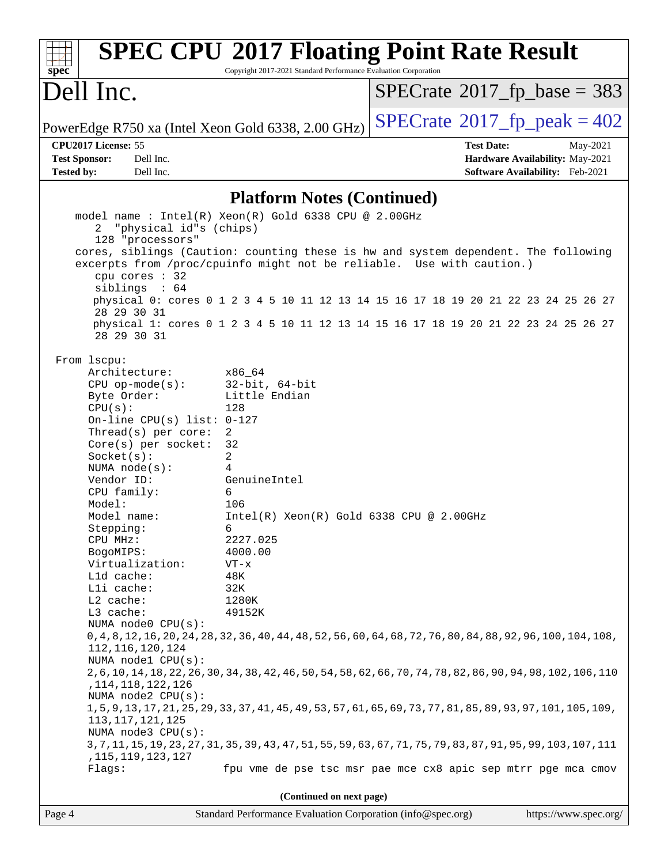| spec                                                                                                                                                                                                                                                                                                                                                                                                                                                                                                                                                              | Copyright 2017-2021 Standard Performance Evaluation Corporation                                                                                                                                                                             | <b>SPEC CPU®2017 Floating Point Rate Result</b>                                                                                                                                                                                                                                                                                                                                                                                                                                                                |                                 |
|-------------------------------------------------------------------------------------------------------------------------------------------------------------------------------------------------------------------------------------------------------------------------------------------------------------------------------------------------------------------------------------------------------------------------------------------------------------------------------------------------------------------------------------------------------------------|---------------------------------------------------------------------------------------------------------------------------------------------------------------------------------------------------------------------------------------------|----------------------------------------------------------------------------------------------------------------------------------------------------------------------------------------------------------------------------------------------------------------------------------------------------------------------------------------------------------------------------------------------------------------------------------------------------------------------------------------------------------------|---------------------------------|
| Dell Inc.                                                                                                                                                                                                                                                                                                                                                                                                                                                                                                                                                         |                                                                                                                                                                                                                                             | $SPECTate$ <sup>®</sup> 2017_fp_base = 383                                                                                                                                                                                                                                                                                                                                                                                                                                                                     |                                 |
| PowerEdge R750 xa (Intel Xeon Gold 6338, 2.00 GHz)                                                                                                                                                                                                                                                                                                                                                                                                                                                                                                                |                                                                                                                                                                                                                                             | $SPECTate$ <sup>®</sup> 2017_fp_peak = 402                                                                                                                                                                                                                                                                                                                                                                                                                                                                     |                                 |
| CPU2017 License: 55                                                                                                                                                                                                                                                                                                                                                                                                                                                                                                                                               |                                                                                                                                                                                                                                             | <b>Test Date:</b>                                                                                                                                                                                                                                                                                                                                                                                                                                                                                              | May-2021                        |
| Dell Inc.<br><b>Test Sponsor:</b>                                                                                                                                                                                                                                                                                                                                                                                                                                                                                                                                 |                                                                                                                                                                                                                                             |                                                                                                                                                                                                                                                                                                                                                                                                                                                                                                                | Hardware Availability: May-2021 |
| <b>Tested by:</b><br>Dell Inc.                                                                                                                                                                                                                                                                                                                                                                                                                                                                                                                                    |                                                                                                                                                                                                                                             |                                                                                                                                                                                                                                                                                                                                                                                                                                                                                                                | Software Availability: Feb-2021 |
|                                                                                                                                                                                                                                                                                                                                                                                                                                                                                                                                                                   | <b>Platform Notes (Continued)</b>                                                                                                                                                                                                           |                                                                                                                                                                                                                                                                                                                                                                                                                                                                                                                |                                 |
| "physical id"s (chips)<br>2<br>128 "processors"<br>cpu cores : 32<br>siblings : 64<br>28 29 30 31<br>28 29 30 31                                                                                                                                                                                                                                                                                                                                                                                                                                                  | model name: Intel(R) Xeon(R) Gold 6338 CPU @ 2.00GHz                                                                                                                                                                                        | cores, siblings (Caution: counting these is hw and system dependent. The following<br>excerpts from /proc/cpuinfo might not be reliable. Use with caution.)<br>physical 0: cores 0 1 2 3 4 5 10 11 12 13 14 15 16 17 18 19 20 21 22 23 24 25 26 27<br>physical 1: cores 0 1 2 3 4 5 10 11 12 13 14 15 16 17 18 19 20 21 22 23 24 25 26 27                                                                                                                                                                      |                                 |
| From lscpu:<br>Architecture:<br>$CPU$ op-mode( $s$ ):<br>Byte Order:<br>CPU(s):<br>On-line CPU(s) list: 0-127<br>Thread(s) per core:<br>Core(s) per socket:<br>Socket(s):<br>NUMA $node(s):$<br>Vendor ID:<br>CPU family:<br>Model:<br>Model name:<br>Stepping:<br>CPU MHz:<br>BogoMIPS:<br>Virtualization:<br>L1d cache:<br>Lli cache:<br>$L2$ cache:<br>L3 cache:<br>NUMA node0 CPU(s):<br>112, 116, 120, 124<br>NUMA nodel CPU(s):<br>, 114, 118, 122, 126<br>NUMA node2 CPU(s):<br>113, 117, 121, 125<br>NUMA node3 CPU(s):<br>, 115, 119, 123, 127<br>Flags: | x86_64<br>$32$ -bit, $64$ -bit<br>Little Endian<br>128<br>$\overline{2}$<br>32<br>2<br>4<br>GenuineIntel<br>6<br>106<br>$Intel(R) Xeon(R) Gold 6338 CPU @ 2.00GHz$<br>6<br>2227.025<br>4000.00<br>$VT - x$<br>48K<br>32K<br>1280K<br>49152K | 0,4,8,12,16,20,24,28,32,36,40,44,48,52,56,60,64,68,72,76,80,84,88,92,96,100,104,108,<br>2, 6, 10, 14, 18, 22, 26, 30, 34, 38, 42, 46, 50, 54, 58, 62, 66, 70, 74, 78, 82, 86, 90, 94, 98, 102, 106, 110<br>1, 5, 9, 13, 17, 21, 25, 29, 33, 37, 41, 45, 49, 53, 57, 61, 65, 69, 73, 77, 81, 85, 89, 93, 97, 101, 105, 109,<br>3, 7, 11, 15, 19, 23, 27, 31, 35, 39, 43, 47, 51, 55, 59, 63, 67, 71, 75, 79, 83, 87, 91, 95, 99, 103, 107, 111<br>fpu vme de pse tsc msr pae mce cx8 apic sep mtrr pge mca cmov |                                 |
|                                                                                                                                                                                                                                                                                                                                                                                                                                                                                                                                                                   | (Continued on next page)                                                                                                                                                                                                                    |                                                                                                                                                                                                                                                                                                                                                                                                                                                                                                                |                                 |
| Page 4                                                                                                                                                                                                                                                                                                                                                                                                                                                                                                                                                            | Standard Performance Evaluation Corporation (info@spec.org)                                                                                                                                                                                 |                                                                                                                                                                                                                                                                                                                                                                                                                                                                                                                | https://www.spec.org/           |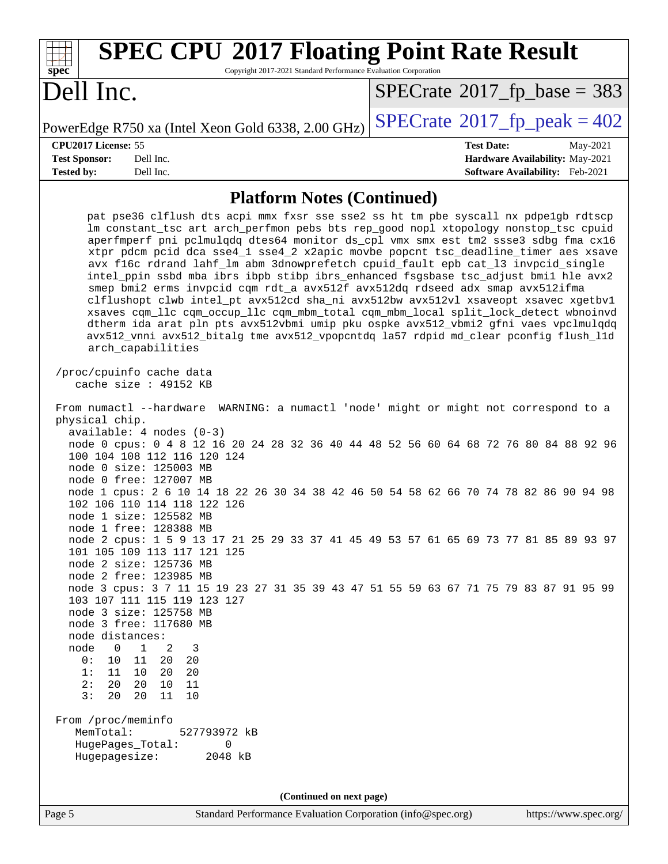| <b>SPEC CPU®2017 Floating Point Rate Result</b><br>Copyright 2017-2021 Standard Performance Evaluation Corporation<br>$spec^*$                                                                                                                                                                                                                                                                                                                                                                                                                                                                                                                                                                                                                                                                                                                                                                                                                                                                                                                                                                                                                                          |                                                                                                     |  |  |  |  |
|-------------------------------------------------------------------------------------------------------------------------------------------------------------------------------------------------------------------------------------------------------------------------------------------------------------------------------------------------------------------------------------------------------------------------------------------------------------------------------------------------------------------------------------------------------------------------------------------------------------------------------------------------------------------------------------------------------------------------------------------------------------------------------------------------------------------------------------------------------------------------------------------------------------------------------------------------------------------------------------------------------------------------------------------------------------------------------------------------------------------------------------------------------------------------|-----------------------------------------------------------------------------------------------------|--|--|--|--|
| Dell Inc.                                                                                                                                                                                                                                                                                                                                                                                                                                                                                                                                                                                                                                                                                                                                                                                                                                                                                                                                                                                                                                                                                                                                                               | $SPECTate$ <sup>®</sup> 2017_fp_base = 383                                                          |  |  |  |  |
| PowerEdge R750 xa (Intel Xeon Gold 6338, 2.00 GHz)                                                                                                                                                                                                                                                                                                                                                                                                                                                                                                                                                                                                                                                                                                                                                                                                                                                                                                                                                                                                                                                                                                                      | $SPECTate$ <sup>®</sup> 2017_fp_peak = 402                                                          |  |  |  |  |
| CPU2017 License: 55<br><b>Test Sponsor:</b><br>Dell Inc.<br><b>Tested by:</b><br>Dell Inc.                                                                                                                                                                                                                                                                                                                                                                                                                                                                                                                                                                                                                                                                                                                                                                                                                                                                                                                                                                                                                                                                              | <b>Test Date:</b><br>May-2021<br>Hardware Availability: May-2021<br>Software Availability: Feb-2021 |  |  |  |  |
| <b>Platform Notes (Continued)</b>                                                                                                                                                                                                                                                                                                                                                                                                                                                                                                                                                                                                                                                                                                                                                                                                                                                                                                                                                                                                                                                                                                                                       |                                                                                                     |  |  |  |  |
| pat pse36 clflush dts acpi mmx fxsr sse sse2 ss ht tm pbe syscall nx pdpelgb rdtscp<br>lm constant_tsc art arch_perfmon pebs bts rep_good nopl xtopology nonstop_tsc cpuid<br>aperfmperf pni pclmulqdq dtes64 monitor ds_cpl vmx smx est tm2 ssse3 sdbg fma cx16<br>xtpr pdcm pcid dca sse4_1 sse4_2 x2apic movbe popcnt tsc_deadline_timer aes xsave<br>avx f16c rdrand lahf_lm abm 3dnowprefetch cpuid_fault epb cat_13 invpcid_single<br>intel_ppin ssbd mba ibrs ibpb stibp ibrs_enhanced fsgsbase tsc_adjust bmil hle avx2<br>smep bmi2 erms invpcid cqm rdt_a avx512f avx512dq rdseed adx smap avx512ifma<br>clflushopt clwb intel_pt avx512cd sha_ni avx512bw avx512vl xsaveopt xsavec xgetbv1<br>xsaves cqm_llc cqm_occup_llc cqm_mbm_total cqm_mbm_local split_lock_detect wbnoinvd<br>dtherm ida arat pln pts avx512vbmi umip pku ospke avx512_vbmi2 gfni vaes vpclmulqdq<br>avx512_vnni avx512_bitalg tme avx512_vpopcntdq la57 rdpid md_clear pconfig flush_11d<br>arch_capabilities<br>/proc/cpuinfo cache data                                                                                                                                            |                                                                                                     |  |  |  |  |
| cache size : 49152 KB<br>From numactl --hardware WARNING: a numactl 'node' might or might not correspond to a<br>physical chip.<br>$available: 4 nodes (0-3)$<br>node 0 cpus: 0 4 8 12 16 20 24 28 32 36 40 44 48 52 56 60 64 68 72 76 80 84 88 92 96<br>100 104 108 112 116 120 124<br>node 0 size: 125003 MB<br>node 0 free: 127007 MB<br>node 1 cpus: 2 6 10 14 18 22 26 30 34 38 42 46 50 54 58 62 66 70 74 78 82 86 90 94 98<br>102 106 110 114 118 122 126<br>node 1 size: 125582 MB<br>node 1 free: 128388 MB<br>node 2 cpus: 1 5 9 13 17 21 25 29 33 37 41 45 49 53 57 61 65 69 73 77 81 85 89 93 97<br>101 105 109 113 117 121 125<br>node 2 size: 125736 MB<br>node 2 free: 123985 MB<br>node 3 cpus: 3 7 11 15 19 23 27 31 35 39 43 47 51 55 59 63 67 71 75 79 83 87 91 95 99<br>103 107 111 115 119 123 127<br>node 3 size: 125758 MB<br>node 3 free: 117680 MB<br>node distances:<br>node<br>$\overline{0}$<br>1<br>2<br>3<br>0:<br>10<br>11<br>20<br>20<br>1:<br>11<br>10<br>20<br>20<br>20<br>2:<br>20<br>10<br>11<br>3:<br>20<br>20<br>11<br>10<br>From /proc/meminfo<br>MemTotal:<br>527793972 kB<br>HugePages_Total:<br>0<br>Hugepagesize:<br>2048 kB |                                                                                                     |  |  |  |  |
| (Continued on next page)<br>Standard Performance Evaluation Corporation (info@spec.org)<br>Page 5                                                                                                                                                                                                                                                                                                                                                                                                                                                                                                                                                                                                                                                                                                                                                                                                                                                                                                                                                                                                                                                                       | https://www.spec.org/                                                                               |  |  |  |  |
|                                                                                                                                                                                                                                                                                                                                                                                                                                                                                                                                                                                                                                                                                                                                                                                                                                                                                                                                                                                                                                                                                                                                                                         |                                                                                                     |  |  |  |  |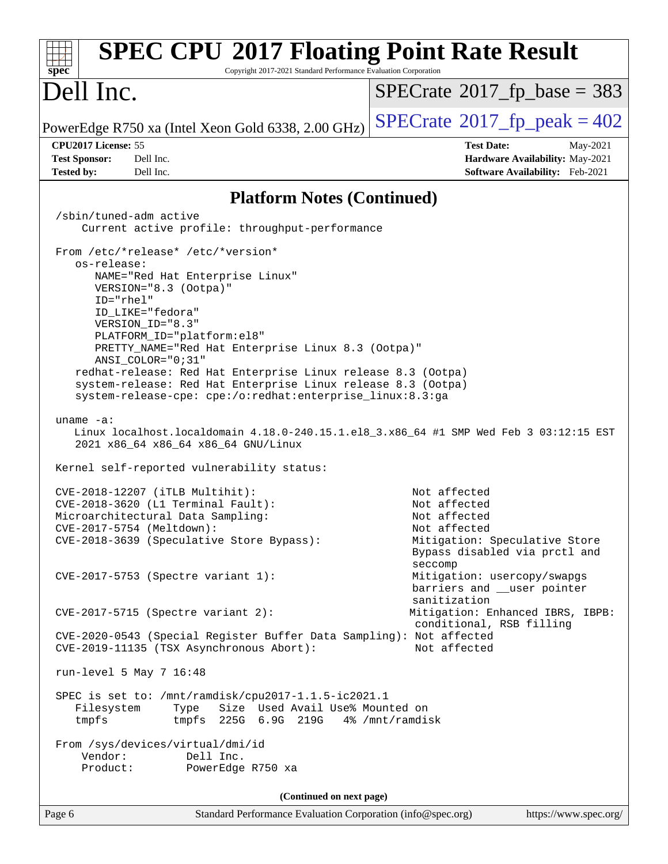| <b>SPEC CPU®2017 Floating Point Rate Result</b><br>Copyright 2017-2021 Standard Performance Evaluation Corporation<br>spec <sup>®</sup>                                                   |                                                                                           |
|-------------------------------------------------------------------------------------------------------------------------------------------------------------------------------------------|-------------------------------------------------------------------------------------------|
| Dell Inc.                                                                                                                                                                                 | $SPECrate^{\circ}2017$ fp base = 383                                                      |
| PowerEdge R750 xa (Intel Xeon Gold 6338, 2.00 GHz)                                                                                                                                        | $SPECTate$ <sup>®</sup> 2017_fp_peak = 402                                                |
| CPU2017 License: 55<br><b>Test Sponsor:</b><br>Dell Inc.                                                                                                                                  | <b>Test Date:</b><br>May-2021<br>Hardware Availability: May-2021                          |
| <b>Tested by:</b><br>Dell Inc.                                                                                                                                                            | Software Availability: Feb-2021                                                           |
| <b>Platform Notes (Continued)</b>                                                                                                                                                         |                                                                                           |
| /sbin/tuned-adm active<br>Current active profile: throughput-performance                                                                                                                  |                                                                                           |
| From /etc/*release* /etc/*version*<br>os-release:                                                                                                                                         |                                                                                           |
| NAME="Red Hat Enterprise Linux"<br>VERSION="8.3 (Ootpa)"<br>$ID="rhe1"$                                                                                                                   |                                                                                           |
| ID LIKE="fedora"<br>VERSION ID="8.3"                                                                                                                                                      |                                                                                           |
| PLATFORM_ID="platform:el8"<br>PRETTY_NAME="Red Hat Enterprise Linux 8.3 (Ootpa)"<br>$ANSI$ _COLOR=" $0:31$ "                                                                              |                                                                                           |
| redhat-release: Red Hat Enterprise Linux release 8.3 (Ootpa)<br>system-release: Red Hat Enterprise Linux release 8.3 (Ootpa)<br>system-release-cpe: cpe:/o:redhat:enterprise_linux:8.3:ga |                                                                                           |
| uname $-a$ :<br>Linux localhost.localdomain 4.18.0-240.15.1.el8_3.x86_64 #1 SMP Wed Feb 3 03:12:15 EST<br>2021 x86_64 x86_64 x86_64 GNU/Linux                                             |                                                                                           |
| Kernel self-reported vulnerability status:                                                                                                                                                |                                                                                           |
| CVE-2018-12207 (iTLB Multihit):<br>CVE-2018-3620 (L1 Terminal Fault):                                                                                                                     | Not affected<br>Not affected                                                              |
| Microarchitectural Data Sampling:                                                                                                                                                         | Not affected                                                                              |
| CVE-2017-5754 (Meltdown):<br>CVE-2018-3639 (Speculative Store Bypass):                                                                                                                    | Not affected<br>Mitigation: Speculative Store<br>Bypass disabled via prctl and<br>seccomp |
| CVE-2017-5753 (Spectre variant 1):                                                                                                                                                        | Mitigation: usercopy/swapgs<br>barriers and __user pointer<br>sanitization                |
| $CVE-2017-5715$ (Spectre variant 2):                                                                                                                                                      | Mitigation: Enhanced IBRS, IBPB:<br>conditional, RSB filling                              |
| CVE-2020-0543 (Special Register Buffer Data Sampling): Not affected<br>CVE-2019-11135 (TSX Asynchronous Abort):                                                                           | Not affected                                                                              |
| run-level 5 May 7 16:48                                                                                                                                                                   |                                                                                           |
| SPEC is set to: /mnt/ramdisk/cpu2017-1.1.5-ic2021.1<br>Size Used Avail Use% Mounted on<br>Type<br>Filesystem<br>tmpfs<br>tmpfs $225G$ 6.9G $219G$ 4% /mnt/ramdisk                         |                                                                                           |
| From /sys/devices/virtual/dmi/id<br>Vendor:<br>Dell Inc.                                                                                                                                  |                                                                                           |
| Product:<br>PowerEdge R750 xa                                                                                                                                                             |                                                                                           |
| (Continued on next page)                                                                                                                                                                  |                                                                                           |
| Standard Performance Evaluation Corporation (info@spec.org)<br>Page 6                                                                                                                     | https://www.spec.org/                                                                     |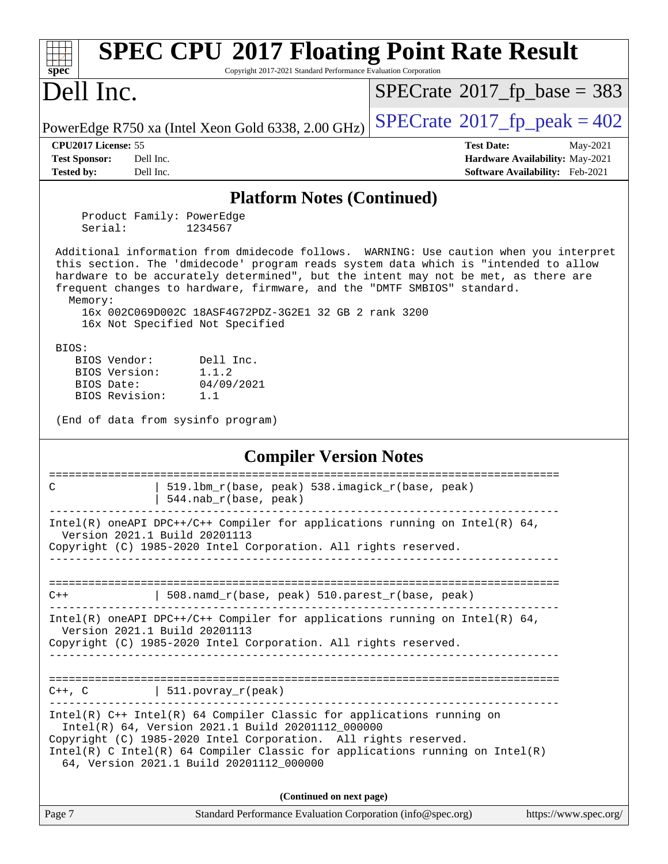| <b>SPEC CPU®2017 Floating Point Rate Result</b><br>spec<br>Copyright 2017-2021 Standard Performance Evaluation Corporation                                                                                                                                                                                                                                                                                                                            |                                                                                                     |
|-------------------------------------------------------------------------------------------------------------------------------------------------------------------------------------------------------------------------------------------------------------------------------------------------------------------------------------------------------------------------------------------------------------------------------------------------------|-----------------------------------------------------------------------------------------------------|
| Dell Inc.                                                                                                                                                                                                                                                                                                                                                                                                                                             | $SPECrate^{\circ}2017$ fp base = 383                                                                |
| PowerEdge R750 xa (Intel Xeon Gold 6338, 2.00 GHz)                                                                                                                                                                                                                                                                                                                                                                                                    | $SPECTate^{\circ}2017$ _fp_peak = 402                                                               |
| CPU2017 License: 55<br><b>Test Sponsor:</b><br>Dell Inc.<br><b>Tested by:</b><br>Dell Inc.                                                                                                                                                                                                                                                                                                                                                            | <b>Test Date:</b><br>May-2021<br>Hardware Availability: May-2021<br>Software Availability: Feb-2021 |
| <b>Platform Notes (Continued)</b>                                                                                                                                                                                                                                                                                                                                                                                                                     |                                                                                                     |
| Product Family: PowerEdge<br>Serial:<br>1234567                                                                                                                                                                                                                                                                                                                                                                                                       |                                                                                                     |
| Additional information from dmidecode follows. WARNING: Use caution when you interpret<br>this section. The 'dmidecode' program reads system data which is "intended to allow<br>hardware to be accurately determined", but the intent may not be met, as there are<br>frequent changes to hardware, firmware, and the "DMTF SMBIOS" standard.<br>Memory:<br>16x 002C069D002C 18ASF4G72PDZ-3G2E1 32 GB 2 rank 3200<br>16x Not Specified Not Specified |                                                                                                     |
| BIOS:<br>BIOS Vendor:<br>Dell Inc.<br>1.1.2<br>BIOS Version:<br>04/09/2021<br>BIOS Date:<br>BIOS Revision:<br>1.1<br>(End of data from sysinfo program)                                                                                                                                                                                                                                                                                               |                                                                                                     |
| <b>Compiler Version Notes</b>                                                                                                                                                                                                                                                                                                                                                                                                                         |                                                                                                     |
| 519.1bm_r(base, peak) 538.imagick_r(base, peak)<br>C<br>544.nab_r(base, peak)                                                                                                                                                                                                                                                                                                                                                                         | =====================                                                                               |
| Intel(R) oneAPI DPC++/C++ Compiler for applications running on Intel(R) 64,<br>Version 2021.1 Build 20201113<br>Copyright (C) 1985-2020 Intel Corporation. All rights reserved.                                                                                                                                                                                                                                                                       |                                                                                                     |
| $\vert$ 508.namd_r(base, peak) 510.parest_r(base, peak)<br>$C++$                                                                                                                                                                                                                                                                                                                                                                                      |                                                                                                     |
| Intel(R) oneAPI DPC++/C++ Compiler for applications running on Intel(R) $64$ ,<br>Version 2021.1 Build 20201113<br>Copyright (C) 1985-2020 Intel Corporation. All rights reserved.                                                                                                                                                                                                                                                                    |                                                                                                     |
| $C++$ , C $\qquad \qquad$ 511. povray_r(peak)                                                                                                                                                                                                                                                                                                                                                                                                         |                                                                                                     |
| Intel(R) C++ Intel(R) 64 Compiler Classic for applications running on<br>Intel(R) 64, Version 2021.1 Build 20201112_000000<br>Copyright (C) 1985-2020 Intel Corporation. All rights reserved.<br>$Intel(R)$ C Intel(R) 64 Compiler Classic for applications running on Intel(R)<br>64, Version 2021.1 Build 20201112_000000                                                                                                                           |                                                                                                     |
| (Continued on next page)                                                                                                                                                                                                                                                                                                                                                                                                                              |                                                                                                     |
| Standard Performance Evaluation Corporation (info@spec.org)<br>Page 7                                                                                                                                                                                                                                                                                                                                                                                 | https://www.spec.org/                                                                               |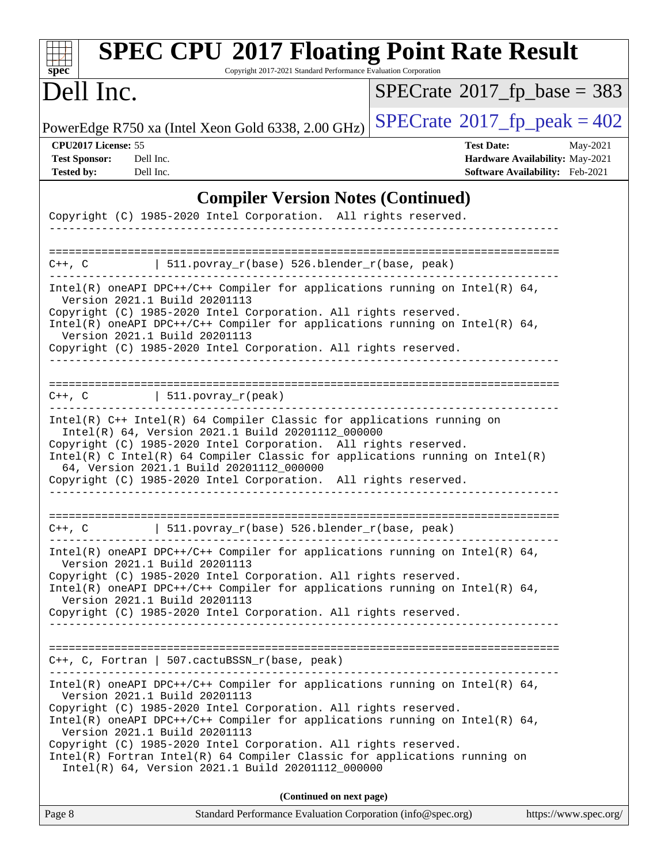| <b>SPEC CPU®2017 Floating Point Rate Result</b><br>Copyright 2017-2021 Standard Performance Evaluation Corporation<br>spec <sup>®</sup>                                                                                                                                                                                                                                                                                                                                                                   |                                                                                                            |
|-----------------------------------------------------------------------------------------------------------------------------------------------------------------------------------------------------------------------------------------------------------------------------------------------------------------------------------------------------------------------------------------------------------------------------------------------------------------------------------------------------------|------------------------------------------------------------------------------------------------------------|
| Dell Inc.                                                                                                                                                                                                                                                                                                                                                                                                                                                                                                 | $SPECrate^{\circ}2017$ fp base = 383                                                                       |
| PowerEdge R750 xa (Intel Xeon Gold 6338, 2.00 GHz)                                                                                                                                                                                                                                                                                                                                                                                                                                                        | $SPECrate@2017_fp\_peak = 402$                                                                             |
| CPU2017 License: 55<br><b>Test Sponsor:</b><br>Dell Inc.<br><b>Tested by:</b><br>Dell Inc.                                                                                                                                                                                                                                                                                                                                                                                                                | <b>Test Date:</b><br>May-2021<br>Hardware Availability: May-2021<br><b>Software Availability:</b> Feb-2021 |
| <b>Compiler Version Notes (Continued)</b><br>Copyright (C) 1985-2020 Intel Corporation. All rights reserved.                                                                                                                                                                                                                                                                                                                                                                                              |                                                                                                            |
| $511. povray_r(base) 526. blender_r(base, peak)$<br>$C++$ , $C$                                                                                                                                                                                                                                                                                                                                                                                                                                           |                                                                                                            |
| Intel(R) oneAPI DPC++/C++ Compiler for applications running on Intel(R) $64$ ,<br>Version 2021.1 Build 20201113<br>Copyright (C) 1985-2020 Intel Corporation. All rights reserved.<br>Intel(R) oneAPI DPC++/C++ Compiler for applications running on Intel(R) $64$ ,<br>Version 2021.1 Build 20201113<br>Copyright (C) 1985-2020 Intel Corporation. All rights reserved.                                                                                                                                  |                                                                                                            |
| $ 511.povray_r(peak) $<br>$C++$ , $C$                                                                                                                                                                                                                                                                                                                                                                                                                                                                     |                                                                                                            |
| Intel(R) C++ Intel(R) 64 Compiler Classic for applications running on<br>Intel(R) 64, Version 2021.1 Build 20201112_000000<br>Copyright (C) 1985-2020 Intel Corporation. All rights reserved.<br>Intel(R) C Intel(R) 64 Compiler Classic for applications running on Intel(R)<br>64, Version 2021.1 Build 20201112_000000<br>Copyright (C) 1985-2020 Intel Corporation. All rights reserved.                                                                                                              |                                                                                                            |
| 511.povray_r(base) 526.blender_r(base, peak)<br>$C++$ , $C$                                                                                                                                                                                                                                                                                                                                                                                                                                               |                                                                                                            |
| $Intel(R)$ oneAPI DPC++/C++ Compiler for applications running on Intel(R) 64,<br>Version 2021.1 Build 20201113<br>Copyright (C) 1985-2020 Intel Corporation. All rights reserved.<br>Intel(R) oneAPI DPC++/C++ Compiler for applications running on Intel(R) $64$ ,<br>Version 2021.1 Build 20201113<br>Copyright (C) 1985-2020 Intel Corporation. All rights reserved.                                                                                                                                   |                                                                                                            |
| $C++$ , C, Fortran   507.cactuBSSN_r(base, peak)                                                                                                                                                                                                                                                                                                                                                                                                                                                          |                                                                                                            |
| $Intel(R)$ oneAPI DPC++/C++ Compiler for applications running on Intel(R) 64,<br>Version 2021.1 Build 20201113<br>Copyright (C) 1985-2020 Intel Corporation. All rights reserved.<br>Intel(R) oneAPI DPC++/C++ Compiler for applications running on Intel(R) $64$ ,<br>Version 2021.1 Build 20201113<br>Copyright (C) 1985-2020 Intel Corporation. All rights reserved.<br>Intel(R) Fortran Intel(R) 64 Compiler Classic for applications running on<br>Intel(R) 64, Version 2021.1 Build 20201112_000000 |                                                                                                            |
| (Continued on next page)                                                                                                                                                                                                                                                                                                                                                                                                                                                                                  |                                                                                                            |

| Page 8 | Standard Performance Evaluation Corporation (info@spec.org) | https://www.spec.org/ |
|--------|-------------------------------------------------------------|-----------------------|
|        |                                                             |                       |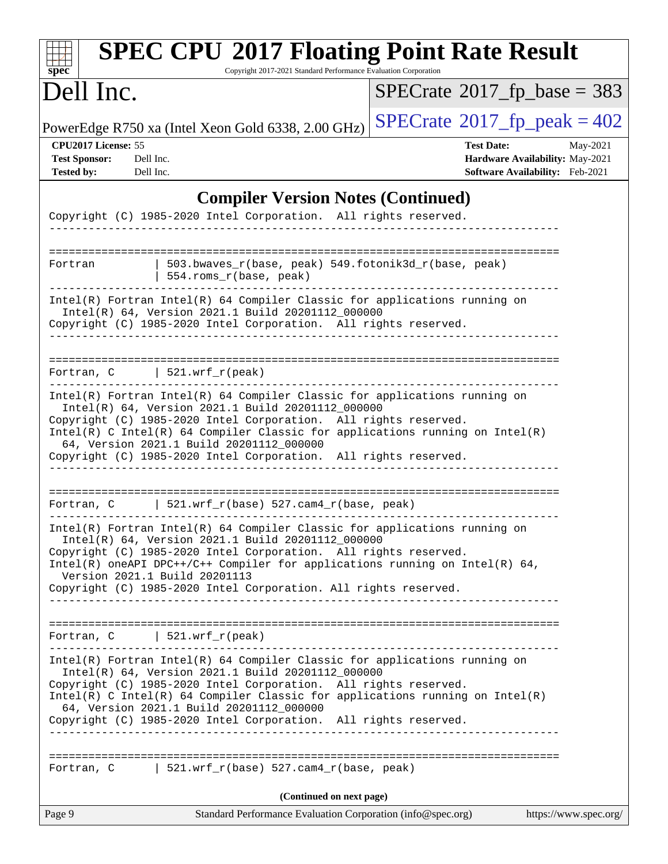| <b>SPEC CPU®2017 Floating Point Rate Result</b><br>Copyright 2017-2021 Standard Performance Evaluation Corporation<br>spec <sup>®</sup>                                                                                                                                                                                                                                                          |                                                                                                     |
|--------------------------------------------------------------------------------------------------------------------------------------------------------------------------------------------------------------------------------------------------------------------------------------------------------------------------------------------------------------------------------------------------|-----------------------------------------------------------------------------------------------------|
| Dell Inc.                                                                                                                                                                                                                                                                                                                                                                                        | $SPECTate$ <sup>®</sup> 2017_fp_base = 383                                                          |
| PowerEdge R750 xa (Intel Xeon Gold 6338, 2.00 GHz)                                                                                                                                                                                                                                                                                                                                               | $SPECTate^{\circ}2017$ _fp_peak = 402                                                               |
| CPU2017 License: 55<br><b>Test Sponsor:</b><br>Dell Inc.<br><b>Tested by:</b><br>Dell Inc.                                                                                                                                                                                                                                                                                                       | <b>Test Date:</b><br>May-2021<br>Hardware Availability: May-2021<br>Software Availability: Feb-2021 |
| <b>Compiler Version Notes (Continued)</b>                                                                                                                                                                                                                                                                                                                                                        |                                                                                                     |
| Copyright (C) 1985-2020 Intel Corporation. All rights reserved.                                                                                                                                                                                                                                                                                                                                  |                                                                                                     |
| ------------------------<br>$503.bwaves_r(base, peak)$ 549.fotonik3d_r(base, peak)<br>Fortran<br>554.roms_r(base, peak)                                                                                                                                                                                                                                                                          |                                                                                                     |
| Intel(R) Fortran Intel(R) 64 Compiler Classic for applications running on<br>Intel(R) 64, Version 2021.1 Build 20201112_000000<br>Copyright (C) 1985-2020 Intel Corporation. All rights reserved.                                                                                                                                                                                                |                                                                                                     |
| Fortran, $C$   521.wrf_r(peak)                                                                                                                                                                                                                                                                                                                                                                   |                                                                                                     |
| Intel(R) Fortran Intel(R) 64 Compiler Classic for applications running on<br>Intel(R) 64, Version 2021.1 Build 20201112_000000<br>Copyright (C) 1985-2020 Intel Corporation. All rights reserved.<br>Intel(R) C Intel(R) 64 Compiler Classic for applications running on Intel(R)<br>64, Version 2021.1 Build 20201112_000000<br>Copyright (C) 1985-2020 Intel Corporation. All rights reserved. |                                                                                                     |
| Fortran, C $\vert$ 521.wrf_r(base) 527.cam4_r(base, peak)                                                                                                                                                                                                                                                                                                                                        |                                                                                                     |
| Intel(R) Fortran Intel(R) 64 Compiler Classic for applications running on<br>Intel(R) 64, Version 2021.1 Build 20201112_000000<br>Copyright (C) 1985-2020 Intel Corporation. All rights reserved.<br>Intel(R) oneAPI DPC++/C++ Compiler for applications running on Intel(R) $64$ ,<br>Version 2021.1 Build 20201113<br>Copyright (C) 1985-2020 Intel Corporation. All rights reserved.          |                                                                                                     |
| Fortran, $C$   521.wrf_r(peak)                                                                                                                                                                                                                                                                                                                                                                   |                                                                                                     |
| Intel(R) Fortran Intel(R) 64 Compiler Classic for applications running on<br>Intel(R) 64, Version 2021.1 Build 20201112_000000<br>Copyright (C) 1985-2020 Intel Corporation. All rights reserved.<br>Intel(R) C Intel(R) 64 Compiler Classic for applications running on Intel(R)<br>64, Version 2021.1 Build 20201112_000000<br>Copyright (C) 1985-2020 Intel Corporation. All rights reserved. |                                                                                                     |
| Fortran, C   521.wrf_r(base) 527.cam4_r(base, peak)                                                                                                                                                                                                                                                                                                                                              |                                                                                                     |
| (Continued on next page)                                                                                                                                                                                                                                                                                                                                                                         |                                                                                                     |
| Page 9<br>Standard Performance Evaluation Corporation (info@spec.org)                                                                                                                                                                                                                                                                                                                            | https://www.spec.org/                                                                               |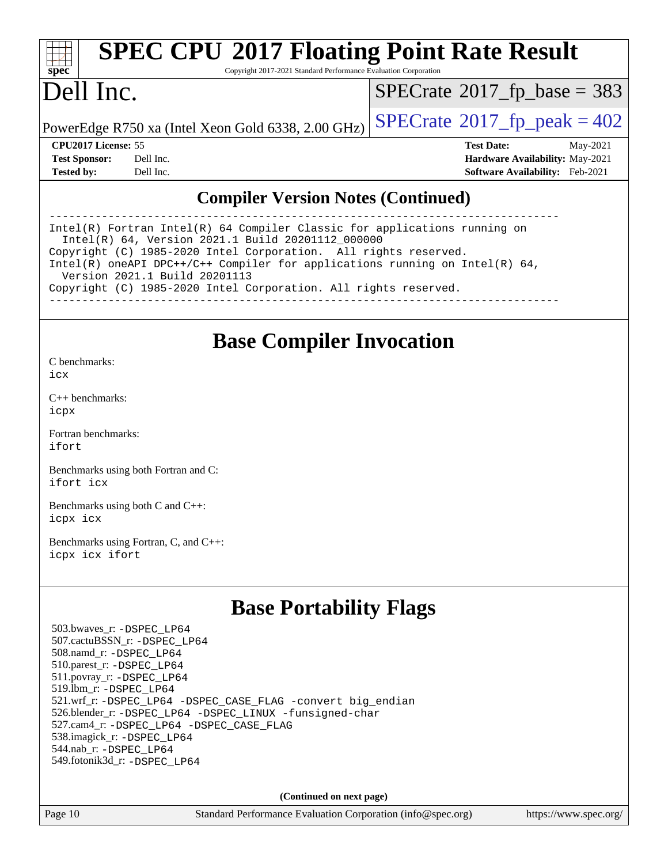| spe<br>U |  |  |  |  |  |
|----------|--|--|--|--|--|

# **[SPEC CPU](http://www.spec.org/auto/cpu2017/Docs/result-fields.html#SPECCPU2017FloatingPointRateResult)[2017 Floating Point Rate Result](http://www.spec.org/auto/cpu2017/Docs/result-fields.html#SPECCPU2017FloatingPointRateResult)**

Copyright 2017-2021 Standard Performance Evaluation Corporation

### Dell Inc.

 $SPECTate$ <sup>®</sup>[2017\\_fp\\_base =](http://www.spec.org/auto/cpu2017/Docs/result-fields.html#SPECrate2017fpbase) 383

PowerEdge R750 xa (Intel Xeon Gold 6338, 2.00 GHz)  $\left|$  [SPECrate](http://www.spec.org/auto/cpu2017/Docs/result-fields.html#SPECrate2017fppeak)®[2017\\_fp\\_peak = 4](http://www.spec.org/auto/cpu2017/Docs/result-fields.html#SPECrate2017fppeak)02

**[CPU2017 License:](http://www.spec.org/auto/cpu2017/Docs/result-fields.html#CPU2017License)** 55 **[Test Date:](http://www.spec.org/auto/cpu2017/Docs/result-fields.html#TestDate)** May-2021 **[Test Sponsor:](http://www.spec.org/auto/cpu2017/Docs/result-fields.html#TestSponsor)** Dell Inc. **[Hardware Availability:](http://www.spec.org/auto/cpu2017/Docs/result-fields.html#HardwareAvailability)** May-2021 **[Tested by:](http://www.spec.org/auto/cpu2017/Docs/result-fields.html#Testedby)** Dell Inc. **[Software Availability:](http://www.spec.org/auto/cpu2017/Docs/result-fields.html#SoftwareAvailability)** Feb-2021

### **[Compiler Version Notes \(Continued\)](http://www.spec.org/auto/cpu2017/Docs/result-fields.html#CompilerVersionNotes)**

------------------------------------------------------------------------------ Intel(R) Fortran Intel(R) 64 Compiler Classic for applications running on Intel(R) 64, Version 2021.1 Build 20201112\_000000 Copyright (C) 1985-2020 Intel Corporation. All rights reserved. Intel(R) oneAPI DPC++/C++ Compiler for applications running on Intel(R) 64, Version 2021.1 Build 20201113 Copyright (C) 1985-2020 Intel Corporation. All rights reserved. ------------------------------------------------------------------------------

### **[Base Compiler Invocation](http://www.spec.org/auto/cpu2017/Docs/result-fields.html#BaseCompilerInvocation)**

[C benchmarks](http://www.spec.org/auto/cpu2017/Docs/result-fields.html#Cbenchmarks): [icx](http://www.spec.org/cpu2017/results/res2021q2/cpu2017-20210524-26529.flags.html#user_CCbase_intel_icx_fe2d28d19ae2a5db7c42fe0f2a2aed77cb715edd4aeb23434404a8be6683fe239869bb6ca8154ca98265c2e3b9226a719a0efe2953a4a7018c379b7010ccf087)

[C++ benchmarks:](http://www.spec.org/auto/cpu2017/Docs/result-fields.html#CXXbenchmarks) [icpx](http://www.spec.org/cpu2017/results/res2021q2/cpu2017-20210524-26529.flags.html#user_CXXbase_intel_icpx_1e918ed14c436bf4b9b7c8bcdd51d4539fc71b3df010bd1e9f8732d9c34c2b2914e48204a846820f3c0ebb4095dea797a5c30b458ac0b6dffac65d78f781f5ca)

[Fortran benchmarks](http://www.spec.org/auto/cpu2017/Docs/result-fields.html#Fortranbenchmarks): [ifort](http://www.spec.org/cpu2017/results/res2021q2/cpu2017-20210524-26529.flags.html#user_FCbase_intel_ifort_8111460550e3ca792625aed983ce982f94888b8b503583aa7ba2b8303487b4d8a21a13e7191a45c5fd58ff318f48f9492884d4413fa793fd88dd292cad7027ca)

[Benchmarks using both Fortran and C](http://www.spec.org/auto/cpu2017/Docs/result-fields.html#BenchmarksusingbothFortranandC): [ifort](http://www.spec.org/cpu2017/results/res2021q2/cpu2017-20210524-26529.flags.html#user_CC_FCbase_intel_ifort_8111460550e3ca792625aed983ce982f94888b8b503583aa7ba2b8303487b4d8a21a13e7191a45c5fd58ff318f48f9492884d4413fa793fd88dd292cad7027ca) [icx](http://www.spec.org/cpu2017/results/res2021q2/cpu2017-20210524-26529.flags.html#user_CC_FCbase_intel_icx_fe2d28d19ae2a5db7c42fe0f2a2aed77cb715edd4aeb23434404a8be6683fe239869bb6ca8154ca98265c2e3b9226a719a0efe2953a4a7018c379b7010ccf087)

[Benchmarks using both C and C++](http://www.spec.org/auto/cpu2017/Docs/result-fields.html#BenchmarksusingbothCandCXX): [icpx](http://www.spec.org/cpu2017/results/res2021q2/cpu2017-20210524-26529.flags.html#user_CC_CXXbase_intel_icpx_1e918ed14c436bf4b9b7c8bcdd51d4539fc71b3df010bd1e9f8732d9c34c2b2914e48204a846820f3c0ebb4095dea797a5c30b458ac0b6dffac65d78f781f5ca) [icx](http://www.spec.org/cpu2017/results/res2021q2/cpu2017-20210524-26529.flags.html#user_CC_CXXbase_intel_icx_fe2d28d19ae2a5db7c42fe0f2a2aed77cb715edd4aeb23434404a8be6683fe239869bb6ca8154ca98265c2e3b9226a719a0efe2953a4a7018c379b7010ccf087)

[Benchmarks using Fortran, C, and C++:](http://www.spec.org/auto/cpu2017/Docs/result-fields.html#BenchmarksusingFortranCandCXX) [icpx](http://www.spec.org/cpu2017/results/res2021q2/cpu2017-20210524-26529.flags.html#user_CC_CXX_FCbase_intel_icpx_1e918ed14c436bf4b9b7c8bcdd51d4539fc71b3df010bd1e9f8732d9c34c2b2914e48204a846820f3c0ebb4095dea797a5c30b458ac0b6dffac65d78f781f5ca) [icx](http://www.spec.org/cpu2017/results/res2021q2/cpu2017-20210524-26529.flags.html#user_CC_CXX_FCbase_intel_icx_fe2d28d19ae2a5db7c42fe0f2a2aed77cb715edd4aeb23434404a8be6683fe239869bb6ca8154ca98265c2e3b9226a719a0efe2953a4a7018c379b7010ccf087) [ifort](http://www.spec.org/cpu2017/results/res2021q2/cpu2017-20210524-26529.flags.html#user_CC_CXX_FCbase_intel_ifort_8111460550e3ca792625aed983ce982f94888b8b503583aa7ba2b8303487b4d8a21a13e7191a45c5fd58ff318f48f9492884d4413fa793fd88dd292cad7027ca)

### **[Base Portability Flags](http://www.spec.org/auto/cpu2017/Docs/result-fields.html#BasePortabilityFlags)**

 503.bwaves\_r: [-DSPEC\\_LP64](http://www.spec.org/cpu2017/results/res2021q2/cpu2017-20210524-26529.flags.html#suite_basePORTABILITY503_bwaves_r_DSPEC_LP64) 507.cactuBSSN\_r: [-DSPEC\\_LP64](http://www.spec.org/cpu2017/results/res2021q2/cpu2017-20210524-26529.flags.html#suite_basePORTABILITY507_cactuBSSN_r_DSPEC_LP64) 508.namd\_r: [-DSPEC\\_LP64](http://www.spec.org/cpu2017/results/res2021q2/cpu2017-20210524-26529.flags.html#suite_basePORTABILITY508_namd_r_DSPEC_LP64) 510.parest\_r: [-DSPEC\\_LP64](http://www.spec.org/cpu2017/results/res2021q2/cpu2017-20210524-26529.flags.html#suite_basePORTABILITY510_parest_r_DSPEC_LP64) 511.povray\_r: [-DSPEC\\_LP64](http://www.spec.org/cpu2017/results/res2021q2/cpu2017-20210524-26529.flags.html#suite_basePORTABILITY511_povray_r_DSPEC_LP64) 519.lbm\_r: [-DSPEC\\_LP64](http://www.spec.org/cpu2017/results/res2021q2/cpu2017-20210524-26529.flags.html#suite_basePORTABILITY519_lbm_r_DSPEC_LP64) 521.wrf\_r: [-DSPEC\\_LP64](http://www.spec.org/cpu2017/results/res2021q2/cpu2017-20210524-26529.flags.html#suite_basePORTABILITY521_wrf_r_DSPEC_LP64) [-DSPEC\\_CASE\\_FLAG](http://www.spec.org/cpu2017/results/res2021q2/cpu2017-20210524-26529.flags.html#b521.wrf_r_baseCPORTABILITY_DSPEC_CASE_FLAG) [-convert big\\_endian](http://www.spec.org/cpu2017/results/res2021q2/cpu2017-20210524-26529.flags.html#user_baseFPORTABILITY521_wrf_r_convert_big_endian_c3194028bc08c63ac5d04de18c48ce6d347e4e562e8892b8bdbdc0214820426deb8554edfa529a3fb25a586e65a3d812c835984020483e7e73212c4d31a38223) 526.blender\_r: [-DSPEC\\_LP64](http://www.spec.org/cpu2017/results/res2021q2/cpu2017-20210524-26529.flags.html#suite_basePORTABILITY526_blender_r_DSPEC_LP64) [-DSPEC\\_LINUX](http://www.spec.org/cpu2017/results/res2021q2/cpu2017-20210524-26529.flags.html#b526.blender_r_baseCPORTABILITY_DSPEC_LINUX) [-funsigned-char](http://www.spec.org/cpu2017/results/res2021q2/cpu2017-20210524-26529.flags.html#user_baseCPORTABILITY526_blender_r_force_uchar_40c60f00ab013830e2dd6774aeded3ff59883ba5a1fc5fc14077f794d777847726e2a5858cbc7672e36e1b067e7e5c1d9a74f7176df07886a243d7cc18edfe67) 527.cam4\_r: [-DSPEC\\_LP64](http://www.spec.org/cpu2017/results/res2021q2/cpu2017-20210524-26529.flags.html#suite_basePORTABILITY527_cam4_r_DSPEC_LP64) [-DSPEC\\_CASE\\_FLAG](http://www.spec.org/cpu2017/results/res2021q2/cpu2017-20210524-26529.flags.html#b527.cam4_r_baseCPORTABILITY_DSPEC_CASE_FLAG) 538.imagick\_r: [-DSPEC\\_LP64](http://www.spec.org/cpu2017/results/res2021q2/cpu2017-20210524-26529.flags.html#suite_basePORTABILITY538_imagick_r_DSPEC_LP64) 544.nab\_r: [-DSPEC\\_LP64](http://www.spec.org/cpu2017/results/res2021q2/cpu2017-20210524-26529.flags.html#suite_basePORTABILITY544_nab_r_DSPEC_LP64) 549.fotonik3d\_r: [-DSPEC\\_LP64](http://www.spec.org/cpu2017/results/res2021q2/cpu2017-20210524-26529.flags.html#suite_basePORTABILITY549_fotonik3d_r_DSPEC_LP64)

**(Continued on next page)**

Page 10 Standard Performance Evaluation Corporation [\(info@spec.org\)](mailto:info@spec.org) <https://www.spec.org/>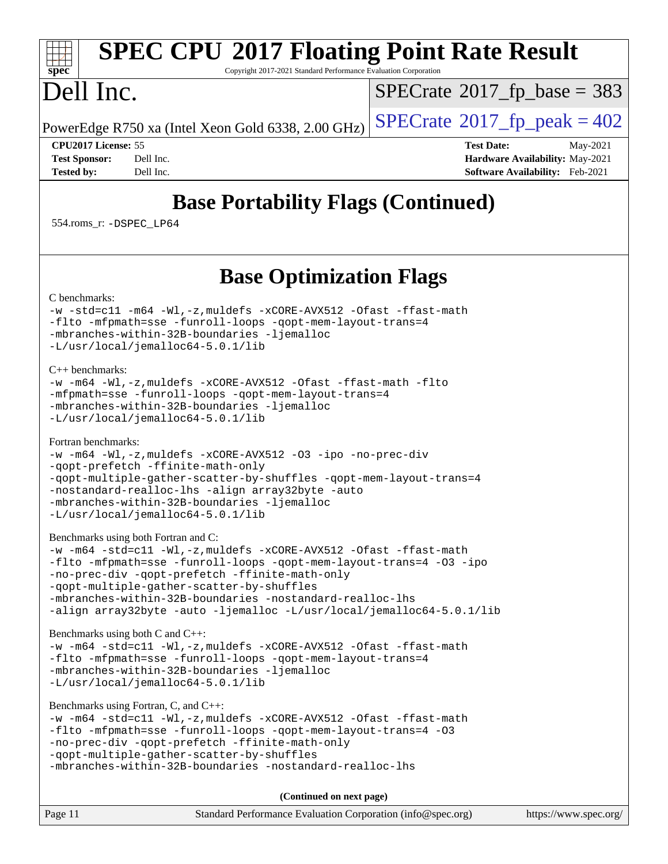# **[SPEC CPU](http://www.spec.org/auto/cpu2017/Docs/result-fields.html#SPECCPU2017FloatingPointRateResult)[2017 Floating Point Rate Result](http://www.spec.org/auto/cpu2017/Docs/result-fields.html#SPECCPU2017FloatingPointRateResult)**

Copyright 2017-2021 Standard Performance Evaluation Corporation

## Dell Inc.

**[spec](http://www.spec.org/)**

 $SPECTate$ <sup>®</sup>[2017\\_fp\\_base =](http://www.spec.org/auto/cpu2017/Docs/result-fields.html#SPECrate2017fpbase) 383

PowerEdge R750 xa (Intel Xeon Gold 6338, 2.00 GHz)  $\left|$  [SPECrate](http://www.spec.org/auto/cpu2017/Docs/result-fields.html#SPECrate2017fppeak)<sup>®</sup>[2017\\_fp\\_peak = 4](http://www.spec.org/auto/cpu2017/Docs/result-fields.html#SPECrate2017fppeak)02

**[CPU2017 License:](http://www.spec.org/auto/cpu2017/Docs/result-fields.html#CPU2017License)** 55 **[Test Date:](http://www.spec.org/auto/cpu2017/Docs/result-fields.html#TestDate)** May-2021 **[Test Sponsor:](http://www.spec.org/auto/cpu2017/Docs/result-fields.html#TestSponsor)** Dell Inc. **[Hardware Availability:](http://www.spec.org/auto/cpu2017/Docs/result-fields.html#HardwareAvailability)** May-2021 **[Tested by:](http://www.spec.org/auto/cpu2017/Docs/result-fields.html#Testedby)** Dell Inc. **[Software Availability:](http://www.spec.org/auto/cpu2017/Docs/result-fields.html#SoftwareAvailability)** Feb-2021

### **[Base Portability Flags \(Continued\)](http://www.spec.org/auto/cpu2017/Docs/result-fields.html#BasePortabilityFlags)**

554.roms\_r: [-DSPEC\\_LP64](http://www.spec.org/cpu2017/results/res2021q2/cpu2017-20210524-26529.flags.html#suite_basePORTABILITY554_roms_r_DSPEC_LP64)

### **[Base Optimization Flags](http://www.spec.org/auto/cpu2017/Docs/result-fields.html#BaseOptimizationFlags)**

[C benchmarks](http://www.spec.org/auto/cpu2017/Docs/result-fields.html#Cbenchmarks):

```
-w-std=c11-m64-Wl,-z,muldefs-xCORE-AVX512-Ofast-ffast-math
-flto -mfpmath=sse -funroll-loops -qopt-mem-layout-trans=4
-mbranches-within-32B-boundaries -ljemalloc
-L/usr/local/jemalloc64-5.0.1/lib
```
[C++ benchmarks:](http://www.spec.org/auto/cpu2017/Docs/result-fields.html#CXXbenchmarks)

```
-w -m64 -Wl,-z,muldefs -xCORE-AVX512 -Ofast -ffast-math -flto
-mfpmath=sse -funroll-loops -qopt-mem-layout-trans=4
-mbranches-within-32B-boundaries -ljemalloc
-L/usr/local/jemalloc64-5.0.1/lib
```
[Fortran benchmarks](http://www.spec.org/auto/cpu2017/Docs/result-fields.html#Fortranbenchmarks):

```
-w -m64 -Wl,-z,muldefs -xCORE-AVX512 -O3 -ipo -no-prec-div
-qopt-prefetch -ffinite-math-only
-qopt-multiple-gather-scatter-by-shuffles -qopt-mem-layout-trans=4
-nostandard-realloc-lhs -align array32byte -auto
-mbranches-within-32B-boundaries -ljemalloc
-L/usr/local/jemalloc64-5.0.1/lib
```
[Benchmarks using both Fortran and C](http://www.spec.org/auto/cpu2017/Docs/result-fields.html#BenchmarksusingbothFortranandC):

```
-w -m64 -std=c11 -Wl,-z,muldefs -xCORE-AVX512 -Ofast -ffast-math
-flto -mfpmath=sse -funroll-loops -qopt-mem-layout-trans=4 -O3 -ipo
-no-prec-div -qopt-prefetch -ffinite-math-only
-qopt-multiple-gather-scatter-by-shuffles
-mbranches-within-32B-boundaries -nostandard-realloc-lhs
-align array32byte -auto -ljemalloc -L/usr/local/jemalloc64-5.0.1/lib
```
[Benchmarks using both C and C++](http://www.spec.org/auto/cpu2017/Docs/result-fields.html#BenchmarksusingbothCandCXX):

```
-w -m64 -std=c11 -Wl,-z,muldefs -xCORE-AVX512 -Ofast -ffast-math
-flto -mfpmath=sse -funroll-loops -qopt-mem-layout-trans=4
-mbranches-within-32B-boundaries -ljemalloc
-L/usr/local/jemalloc64-5.0.1/lib
```
[Benchmarks using Fortran, C, and C++:](http://www.spec.org/auto/cpu2017/Docs/result-fields.html#BenchmarksusingFortranCandCXX)

```
-w -m64 -std=c11 -Wl,-z,muldefs -xCORE-AVX512 -Ofast -ffast-math
-flto -mfpmath=sse -funroll-loops -qopt-mem-layout-trans=4 -O3
-no-prec-div -qopt-prefetch -ffinite-math-only
-qopt-multiple-gather-scatter-by-shuffles
-mbranches-within-32B-boundaries -nostandard-realloc-lhs
```
**(Continued on next page)**

| Page 11 | Standard Performance Evaluation Corporation (info@spec.org) | https://www.spec.org/ |
|---------|-------------------------------------------------------------|-----------------------|
|         |                                                             |                       |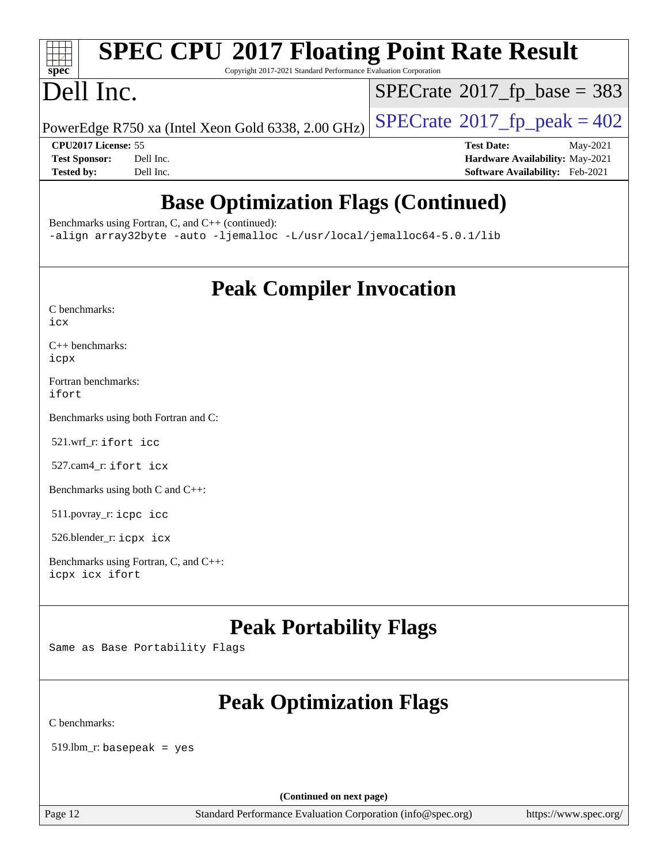### **[SPEC CPU](http://www.spec.org/auto/cpu2017/Docs/result-fields.html#SPECCPU2017FloatingPointRateResult)[2017 Floating Point Rate Result](http://www.spec.org/auto/cpu2017/Docs/result-fields.html#SPECCPU2017FloatingPointRateResult)**  $+\ +$ **[spec](http://www.spec.org/)**

Copyright 2017-2021 Standard Performance Evaluation Corporation

## Dell Inc.

 $SPECTate$ <sup>®</sup>[2017\\_fp\\_base =](http://www.spec.org/auto/cpu2017/Docs/result-fields.html#SPECrate2017fpbase) 383

PowerEdge R750 xa (Intel Xeon Gold 6338, 2.00 GHz)  $\left|$  [SPECrate](http://www.spec.org/auto/cpu2017/Docs/result-fields.html#SPECrate2017fppeak)®[2017\\_fp\\_peak = 4](http://www.spec.org/auto/cpu2017/Docs/result-fields.html#SPECrate2017fppeak)02

**[CPU2017 License:](http://www.spec.org/auto/cpu2017/Docs/result-fields.html#CPU2017License)** 55 **[Test Date:](http://www.spec.org/auto/cpu2017/Docs/result-fields.html#TestDate)** May-2021 **[Test Sponsor:](http://www.spec.org/auto/cpu2017/Docs/result-fields.html#TestSponsor)** Dell Inc. **[Hardware Availability:](http://www.spec.org/auto/cpu2017/Docs/result-fields.html#HardwareAvailability)** May-2021 **[Tested by:](http://www.spec.org/auto/cpu2017/Docs/result-fields.html#Testedby)** Dell Inc. **[Software Availability:](http://www.spec.org/auto/cpu2017/Docs/result-fields.html#SoftwareAvailability)** Feb-2021

### **[Base Optimization Flags \(Continued\)](http://www.spec.org/auto/cpu2017/Docs/result-fields.html#BaseOptimizationFlags)**

[Benchmarks using Fortran, C, and C++](http://www.spec.org/auto/cpu2017/Docs/result-fields.html#BenchmarksusingFortranCandCXX) (continued):

[-align array32byte](http://www.spec.org/cpu2017/results/res2021q2/cpu2017-20210524-26529.flags.html#user_CC_CXX_FCbase_align_array32byte_b982fe038af199962ba9a80c053b8342c548c85b40b8e86eb3cc33dee0d7986a4af373ac2d51c3f7cf710a18d62fdce2948f201cd044323541f22fc0fffc51b6) [-auto](http://www.spec.org/cpu2017/results/res2021q2/cpu2017-20210524-26529.flags.html#user_CC_CXX_FCbase_f-auto) [-ljemalloc](http://www.spec.org/cpu2017/results/res2021q2/cpu2017-20210524-26529.flags.html#user_CC_CXX_FCbase_jemalloc_link_lib_d1249b907c500fa1c0672f44f562e3d0f79738ae9e3c4a9c376d49f265a04b9c99b167ecedbf6711b3085be911c67ff61f150a17b3472be731631ba4d0471706) [-L/usr/local/jemalloc64-5.0.1/lib](http://www.spec.org/cpu2017/results/res2021q2/cpu2017-20210524-26529.flags.html#user_CC_CXX_FCbase_jemalloc_link_path64_1_cc289568b1a6c0fd3b62c91b824c27fcb5af5e8098e6ad028160d21144ef1b8aef3170d2acf0bee98a8da324cfe4f67d0a3d0c4cc4673d993d694dc2a0df248b)

**[Peak Compiler Invocation](http://www.spec.org/auto/cpu2017/Docs/result-fields.html#PeakCompilerInvocation)**

[C++ benchmarks:](http://www.spec.org/auto/cpu2017/Docs/result-fields.html#CXXbenchmarks) [icpx](http://www.spec.org/cpu2017/results/res2021q2/cpu2017-20210524-26529.flags.html#user_CXXpeak_intel_icpx_1e918ed14c436bf4b9b7c8bcdd51d4539fc71b3df010bd1e9f8732d9c34c2b2914e48204a846820f3c0ebb4095dea797a5c30b458ac0b6dffac65d78f781f5ca)

[Fortran benchmarks](http://www.spec.org/auto/cpu2017/Docs/result-fields.html#Fortranbenchmarks): [ifort](http://www.spec.org/cpu2017/results/res2021q2/cpu2017-20210524-26529.flags.html#user_FCpeak_intel_ifort_8111460550e3ca792625aed983ce982f94888b8b503583aa7ba2b8303487b4d8a21a13e7191a45c5fd58ff318f48f9492884d4413fa793fd88dd292cad7027ca)

[Benchmarks using both Fortran and C](http://www.spec.org/auto/cpu2017/Docs/result-fields.html#BenchmarksusingbothFortranandC):

521.wrf\_r: [ifort](http://www.spec.org/cpu2017/results/res2021q2/cpu2017-20210524-26529.flags.html#user_peakFCLD521_wrf_r_intel_ifort_8111460550e3ca792625aed983ce982f94888b8b503583aa7ba2b8303487b4d8a21a13e7191a45c5fd58ff318f48f9492884d4413fa793fd88dd292cad7027ca) [icc](http://www.spec.org/cpu2017/results/res2021q2/cpu2017-20210524-26529.flags.html#user_peakCC521_wrf_r_intel_icc_66fc1ee009f7361af1fbd72ca7dcefbb700085f36577c54f309893dd4ec40d12360134090235512931783d35fd58c0460139e722d5067c5574d8eaf2b3e37e92)

527.cam4\_r: [ifort](http://www.spec.org/cpu2017/results/res2021q2/cpu2017-20210524-26529.flags.html#user_peakFCLD527_cam4_r_intel_ifort_8111460550e3ca792625aed983ce982f94888b8b503583aa7ba2b8303487b4d8a21a13e7191a45c5fd58ff318f48f9492884d4413fa793fd88dd292cad7027ca) [icx](http://www.spec.org/cpu2017/results/res2021q2/cpu2017-20210524-26529.flags.html#user_peakCC527_cam4_r_intel_icx_fe2d28d19ae2a5db7c42fe0f2a2aed77cb715edd4aeb23434404a8be6683fe239869bb6ca8154ca98265c2e3b9226a719a0efe2953a4a7018c379b7010ccf087)

[Benchmarks using both C and C++](http://www.spec.org/auto/cpu2017/Docs/result-fields.html#BenchmarksusingbothCandCXX):

511.povray\_r: [icpc](http://www.spec.org/cpu2017/results/res2021q2/cpu2017-20210524-26529.flags.html#user_peakCXXLD511_povray_r_intel_icpc_c510b6838c7f56d33e37e94d029a35b4a7bccf4766a728ee175e80a419847e808290a9b78be685c44ab727ea267ec2f070ec5dc83b407c0218cded6866a35d07) [icc](http://www.spec.org/cpu2017/results/res2021q2/cpu2017-20210524-26529.flags.html#user_peakCC511_povray_r_intel_icc_66fc1ee009f7361af1fbd72ca7dcefbb700085f36577c54f309893dd4ec40d12360134090235512931783d35fd58c0460139e722d5067c5574d8eaf2b3e37e92)

526.blender\_r: [icpx](http://www.spec.org/cpu2017/results/res2021q2/cpu2017-20210524-26529.flags.html#user_peakCXXLD526_blender_r_intel_icpx_1e918ed14c436bf4b9b7c8bcdd51d4539fc71b3df010bd1e9f8732d9c34c2b2914e48204a846820f3c0ebb4095dea797a5c30b458ac0b6dffac65d78f781f5ca) [icx](http://www.spec.org/cpu2017/results/res2021q2/cpu2017-20210524-26529.flags.html#user_peakCC526_blender_r_intel_icx_fe2d28d19ae2a5db7c42fe0f2a2aed77cb715edd4aeb23434404a8be6683fe239869bb6ca8154ca98265c2e3b9226a719a0efe2953a4a7018c379b7010ccf087)

[Benchmarks using Fortran, C, and C++:](http://www.spec.org/auto/cpu2017/Docs/result-fields.html#BenchmarksusingFortranCandCXX) [icpx](http://www.spec.org/cpu2017/results/res2021q2/cpu2017-20210524-26529.flags.html#user_CC_CXX_FCpeak_intel_icpx_1e918ed14c436bf4b9b7c8bcdd51d4539fc71b3df010bd1e9f8732d9c34c2b2914e48204a846820f3c0ebb4095dea797a5c30b458ac0b6dffac65d78f781f5ca) [icx](http://www.spec.org/cpu2017/results/res2021q2/cpu2017-20210524-26529.flags.html#user_CC_CXX_FCpeak_intel_icx_fe2d28d19ae2a5db7c42fe0f2a2aed77cb715edd4aeb23434404a8be6683fe239869bb6ca8154ca98265c2e3b9226a719a0efe2953a4a7018c379b7010ccf087) [ifort](http://www.spec.org/cpu2017/results/res2021q2/cpu2017-20210524-26529.flags.html#user_CC_CXX_FCpeak_intel_ifort_8111460550e3ca792625aed983ce982f94888b8b503583aa7ba2b8303487b4d8a21a13e7191a45c5fd58ff318f48f9492884d4413fa793fd88dd292cad7027ca)

### **[Peak Portability Flags](http://www.spec.org/auto/cpu2017/Docs/result-fields.html#PeakPortabilityFlags)**

Same as Base Portability Flags

### **[Peak Optimization Flags](http://www.spec.org/auto/cpu2017/Docs/result-fields.html#PeakOptimizationFlags)**

[C benchmarks](http://www.spec.org/auto/cpu2017/Docs/result-fields.html#Cbenchmarks):

519.lbm\_r: basepeak = yes

**(Continued on next page)**

Page 12 Standard Performance Evaluation Corporation [\(info@spec.org\)](mailto:info@spec.org) <https://www.spec.org/>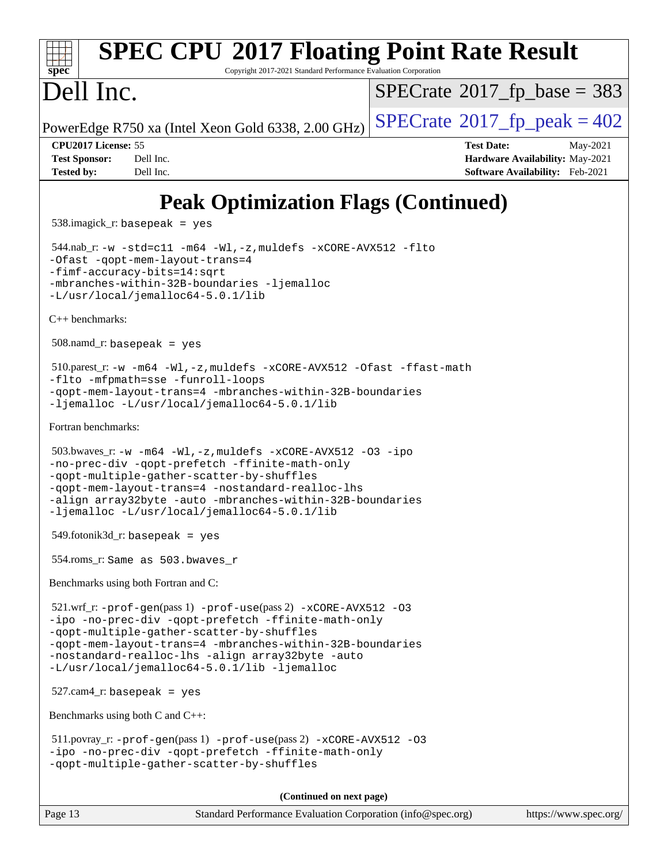### **[spec](http://www.spec.org/) [SPEC CPU](http://www.spec.org/auto/cpu2017/Docs/result-fields.html#SPECCPU2017FloatingPointRateResult)[2017 Floating Point Rate Result](http://www.spec.org/auto/cpu2017/Docs/result-fields.html#SPECCPU2017FloatingPointRateResult)** Copyright 2017-2021 Standard Performance Evaluation Corporation Dell Inc. PowerEdge R750 xa (Intel Xeon Gold 6338, 2.00 GHz)  $\left|$  [SPECrate](http://www.spec.org/auto/cpu2017/Docs/result-fields.html#SPECrate2017fppeak)®[2017\\_fp\\_peak = 4](http://www.spec.org/auto/cpu2017/Docs/result-fields.html#SPECrate2017fppeak)02  $SPECTate$ <sup>®</sup>[2017\\_fp\\_base =](http://www.spec.org/auto/cpu2017/Docs/result-fields.html#SPECrate2017fpbase) 383 **[CPU2017 License:](http://www.spec.org/auto/cpu2017/Docs/result-fields.html#CPU2017License)** 55 **[Test Date:](http://www.spec.org/auto/cpu2017/Docs/result-fields.html#TestDate)** May-2021 **[Test Sponsor:](http://www.spec.org/auto/cpu2017/Docs/result-fields.html#TestSponsor)** Dell Inc. **[Hardware Availability:](http://www.spec.org/auto/cpu2017/Docs/result-fields.html#HardwareAvailability)** May-2021 **[Tested by:](http://www.spec.org/auto/cpu2017/Docs/result-fields.html#Testedby)** Dell Inc. **[Software Availability:](http://www.spec.org/auto/cpu2017/Docs/result-fields.html#SoftwareAvailability)** Feb-2021 **[Peak Optimization Flags \(Continued\)](http://www.spec.org/auto/cpu2017/Docs/result-fields.html#PeakOptimizationFlags)** 538.imagick\_r: basepeak = yes 544.nab\_r: [-w](http://www.spec.org/cpu2017/results/res2021q2/cpu2017-20210524-26529.flags.html#user_peakCCLD544_nab_r_supress_warning_66fb2c4e5c1dd10f38bdd29623979399e5ae75ae6e5453792d82ef66afed381df4a8602f92cac8d2ea0fffa7b93b4b1ccb9ecad4af01c9b2fe338b2082ae3859) [-std=c11](http://www.spec.org/cpu2017/results/res2021q2/cpu2017-20210524-26529.flags.html#user_peakCCLD544_nab_r_std-icc-std_0e1c27790398a4642dfca32ffe6c27b5796f9c2d2676156f2e42c9c44eaad0c049b1cdb667a270c34d979996257aeb8fc440bfb01818dbc9357bd9d174cb8524) [-m64](http://www.spec.org/cpu2017/results/res2021q2/cpu2017-20210524-26529.flags.html#user_peakCCLD544_nab_r_m64-icc) [-Wl,-z,muldefs](http://www.spec.org/cpu2017/results/res2021q2/cpu2017-20210524-26529.flags.html#user_peakEXTRA_LDFLAGS544_nab_r_link_force_multiple1_b4cbdb97b34bdee9ceefcfe54f4c8ea74255f0b02a4b23e853cdb0e18eb4525ac79b5a88067c842dd0ee6996c24547a27a4b99331201badda8798ef8a743f577) [-xCORE-AVX512](http://www.spec.org/cpu2017/results/res2021q2/cpu2017-20210524-26529.flags.html#user_peakCOPTIMIZE544_nab_r_f-xCORE-AVX512) [-flto](http://www.spec.org/cpu2017/results/res2021q2/cpu2017-20210524-26529.flags.html#user_peakCOPTIMIZE544_nab_r_f-flto) [-Ofast](http://www.spec.org/cpu2017/results/res2021q2/cpu2017-20210524-26529.flags.html#user_peakCOPTIMIZE544_nab_r_f-Ofast) [-qopt-mem-layout-trans=4](http://www.spec.org/cpu2017/results/res2021q2/cpu2017-20210524-26529.flags.html#user_peakCOPTIMIZE544_nab_r_f-qopt-mem-layout-trans_fa39e755916c150a61361b7846f310bcdf6f04e385ef281cadf3647acec3f0ae266d1a1d22d972a7087a248fd4e6ca390a3634700869573d231a252c784941a8) [-fimf-accuracy-bits=14:sqrt](http://www.spec.org/cpu2017/results/res2021q2/cpu2017-20210524-26529.flags.html#user_peakEXTRA_OPTIMIZE544_nab_r_f-imf-accuracy-bits_dec3764af0c61f52590ca8f859bc2b38948cb3a9f4bd45f959a8dd6743142ff5c0d5c89fdfba8d7c6d41a5122d7dc4d32797a5effd20a981baa30839b7373d7d) [-mbranches-within-32B-boundaries](http://www.spec.org/cpu2017/results/res2021q2/cpu2017-20210524-26529.flags.html#user_peakEXTRA_COPTIMIZE544_nab_r_f-mbranches-within-32B-boundaries) [-ljemalloc](http://www.spec.org/cpu2017/results/res2021q2/cpu2017-20210524-26529.flags.html#user_peakEXTRA_LIBS544_nab_r_jemalloc_link_lib_d1249b907c500fa1c0672f44f562e3d0f79738ae9e3c4a9c376d49f265a04b9c99b167ecedbf6711b3085be911c67ff61f150a17b3472be731631ba4d0471706) [-L/usr/local/jemalloc64-5.0.1/lib](http://www.spec.org/cpu2017/results/res2021q2/cpu2017-20210524-26529.flags.html#user_peakEXTRA_LIBS544_nab_r_jemalloc_link_path64_1_cc289568b1a6c0fd3b62c91b824c27fcb5af5e8098e6ad028160d21144ef1b8aef3170d2acf0bee98a8da324cfe4f67d0a3d0c4cc4673d993d694dc2a0df248b) [C++ benchmarks:](http://www.spec.org/auto/cpu2017/Docs/result-fields.html#CXXbenchmarks) 508.namd\_r: basepeak = yes 510.parest\_r: [-w](http://www.spec.org/cpu2017/results/res2021q2/cpu2017-20210524-26529.flags.html#user_peakCXXLD510_parest_r_supress_warning_66fb2c4e5c1dd10f38bdd29623979399e5ae75ae6e5453792d82ef66afed381df4a8602f92cac8d2ea0fffa7b93b4b1ccb9ecad4af01c9b2fe338b2082ae3859) [-m64](http://www.spec.org/cpu2017/results/res2021q2/cpu2017-20210524-26529.flags.html#user_peakCXXLD510_parest_r_m64-icc) [-Wl,-z,muldefs](http://www.spec.org/cpu2017/results/res2021q2/cpu2017-20210524-26529.flags.html#user_peakEXTRA_LDFLAGS510_parest_r_link_force_multiple1_b4cbdb97b34bdee9ceefcfe54f4c8ea74255f0b02a4b23e853cdb0e18eb4525ac79b5a88067c842dd0ee6996c24547a27a4b99331201badda8798ef8a743f577) [-xCORE-AVX512](http://www.spec.org/cpu2017/results/res2021q2/cpu2017-20210524-26529.flags.html#user_peakCXXOPTIMIZE510_parest_r_f-xCORE-AVX512) [-Ofast](http://www.spec.org/cpu2017/results/res2021q2/cpu2017-20210524-26529.flags.html#user_peakCXXOPTIMIZE510_parest_r_f-Ofast) [-ffast-math](http://www.spec.org/cpu2017/results/res2021q2/cpu2017-20210524-26529.flags.html#user_peakCXXOPTIMIZE510_parest_r_f-ffast-math) [-flto](http://www.spec.org/cpu2017/results/res2021q2/cpu2017-20210524-26529.flags.html#user_peakCXXOPTIMIZE510_parest_r_f-flto) [-mfpmath=sse](http://www.spec.org/cpu2017/results/res2021q2/cpu2017-20210524-26529.flags.html#user_peakCXXOPTIMIZE510_parest_r_f-mfpmath_70eb8fac26bde974f8ab713bc9086c5621c0b8d2f6c86f38af0bd7062540daf19db5f3a066d8c6684be05d84c9b6322eb3b5be6619d967835195b93d6c02afa1) [-funroll-loops](http://www.spec.org/cpu2017/results/res2021q2/cpu2017-20210524-26529.flags.html#user_peakCXXOPTIMIZE510_parest_r_f-funroll-loops) [-qopt-mem-layout-trans=4](http://www.spec.org/cpu2017/results/res2021q2/cpu2017-20210524-26529.flags.html#user_peakCXXOPTIMIZE510_parest_r_f-qopt-mem-layout-trans_fa39e755916c150a61361b7846f310bcdf6f04e385ef281cadf3647acec3f0ae266d1a1d22d972a7087a248fd4e6ca390a3634700869573d231a252c784941a8) [-mbranches-within-32B-boundaries](http://www.spec.org/cpu2017/results/res2021q2/cpu2017-20210524-26529.flags.html#user_peakEXTRA_CXXOPTIMIZE510_parest_r_f-mbranches-within-32B-boundaries) [-ljemalloc](http://www.spec.org/cpu2017/results/res2021q2/cpu2017-20210524-26529.flags.html#user_peakEXTRA_LIBS510_parest_r_jemalloc_link_lib_d1249b907c500fa1c0672f44f562e3d0f79738ae9e3c4a9c376d49f265a04b9c99b167ecedbf6711b3085be911c67ff61f150a17b3472be731631ba4d0471706) [-L/usr/local/jemalloc64-5.0.1/lib](http://www.spec.org/cpu2017/results/res2021q2/cpu2017-20210524-26529.flags.html#user_peakEXTRA_LIBS510_parest_r_jemalloc_link_path64_1_cc289568b1a6c0fd3b62c91b824c27fcb5af5e8098e6ad028160d21144ef1b8aef3170d2acf0bee98a8da324cfe4f67d0a3d0c4cc4673d993d694dc2a0df248b) [Fortran benchmarks](http://www.spec.org/auto/cpu2017/Docs/result-fields.html#Fortranbenchmarks): 503.bwaves\_r: [-w](http://www.spec.org/cpu2017/results/res2021q2/cpu2017-20210524-26529.flags.html#user_peakFCLD503_bwaves_r_supress_warning_66fb2c4e5c1dd10f38bdd29623979399e5ae75ae6e5453792d82ef66afed381df4a8602f92cac8d2ea0fffa7b93b4b1ccb9ecad4af01c9b2fe338b2082ae3859) [-m64](http://www.spec.org/cpu2017/results/res2021q2/cpu2017-20210524-26529.flags.html#user_peakFCLD503_bwaves_r_m64-icc) [-Wl,-z,muldefs](http://www.spec.org/cpu2017/results/res2021q2/cpu2017-20210524-26529.flags.html#user_peakEXTRA_LDFLAGS503_bwaves_r_link_force_multiple1_b4cbdb97b34bdee9ceefcfe54f4c8ea74255f0b02a4b23e853cdb0e18eb4525ac79b5a88067c842dd0ee6996c24547a27a4b99331201badda8798ef8a743f577) [-xCORE-AVX512](http://www.spec.org/cpu2017/results/res2021q2/cpu2017-20210524-26529.flags.html#user_peakFOPTIMIZE503_bwaves_r_f-xCORE-AVX512) [-O3](http://www.spec.org/cpu2017/results/res2021q2/cpu2017-20210524-26529.flags.html#user_peakFOPTIMIZE503_bwaves_r_f-O3) [-ipo](http://www.spec.org/cpu2017/results/res2021q2/cpu2017-20210524-26529.flags.html#user_peakFOPTIMIZE503_bwaves_r_f-ipo) [-no-prec-div](http://www.spec.org/cpu2017/results/res2021q2/cpu2017-20210524-26529.flags.html#user_peakFOPTIMIZE503_bwaves_r_f-no-prec-div) [-qopt-prefetch](http://www.spec.org/cpu2017/results/res2021q2/cpu2017-20210524-26529.flags.html#user_peakFOPTIMIZE503_bwaves_r_f-qopt-prefetch) [-ffinite-math-only](http://www.spec.org/cpu2017/results/res2021q2/cpu2017-20210524-26529.flags.html#user_peakFOPTIMIZE503_bwaves_r_f_finite_math_only_cb91587bd2077682c4b38af759c288ed7c732db004271a9512da14a4f8007909a5f1427ecbf1a0fb78ff2a814402c6114ac565ca162485bbcae155b5e4258871) [-qopt-multiple-gather-scatter-by-shuffles](http://www.spec.org/cpu2017/results/res2021q2/cpu2017-20210524-26529.flags.html#user_peakFOPTIMIZE503_bwaves_r_f-qopt-multiple-gather-scatter-by-shuffles) [-qopt-mem-layout-trans=4](http://www.spec.org/cpu2017/results/res2021q2/cpu2017-20210524-26529.flags.html#user_peakFOPTIMIZE503_bwaves_r_f-qopt-mem-layout-trans_fa39e755916c150a61361b7846f310bcdf6f04e385ef281cadf3647acec3f0ae266d1a1d22d972a7087a248fd4e6ca390a3634700869573d231a252c784941a8) [-nostandard-realloc-lhs](http://www.spec.org/cpu2017/results/res2021q2/cpu2017-20210524-26529.flags.html#user_peakEXTRA_FOPTIMIZE503_bwaves_r_f_2003_std_realloc_82b4557e90729c0f113870c07e44d33d6f5a304b4f63d4c15d2d0f1fab99f5daaed73bdb9275d9ae411527f28b936061aa8b9c8f2d63842963b95c9dd6426b8a) [-align array32byte](http://www.spec.org/cpu2017/results/res2021q2/cpu2017-20210524-26529.flags.html#user_peakEXTRA_FOPTIMIZE503_bwaves_r_align_array32byte_b982fe038af199962ba9a80c053b8342c548c85b40b8e86eb3cc33dee0d7986a4af373ac2d51c3f7cf710a18d62fdce2948f201cd044323541f22fc0fffc51b6) [-auto](http://www.spec.org/cpu2017/results/res2021q2/cpu2017-20210524-26529.flags.html#user_peakEXTRA_FOPTIMIZE503_bwaves_r_f-auto) [-mbranches-within-32B-boundaries](http://www.spec.org/cpu2017/results/res2021q2/cpu2017-20210524-26529.flags.html#user_peakEXTRA_FOPTIMIZE503_bwaves_r_f-mbranches-within-32B-boundaries) [-ljemalloc](http://www.spec.org/cpu2017/results/res2021q2/cpu2017-20210524-26529.flags.html#user_peakEXTRA_LIBS503_bwaves_r_jemalloc_link_lib_d1249b907c500fa1c0672f44f562e3d0f79738ae9e3c4a9c376d49f265a04b9c99b167ecedbf6711b3085be911c67ff61f150a17b3472be731631ba4d0471706) [-L/usr/local/jemalloc64-5.0.1/lib](http://www.spec.org/cpu2017/results/res2021q2/cpu2017-20210524-26529.flags.html#user_peakEXTRA_LIBS503_bwaves_r_jemalloc_link_path64_1_cc289568b1a6c0fd3b62c91b824c27fcb5af5e8098e6ad028160d21144ef1b8aef3170d2acf0bee98a8da324cfe4f67d0a3d0c4cc4673d993d694dc2a0df248b)  $549.$ fotonik $3d$ \_r: basepeak = yes 554.roms\_r: Same as 503.bwaves\_r [Benchmarks using both Fortran and C](http://www.spec.org/auto/cpu2017/Docs/result-fields.html#BenchmarksusingbothFortranandC):  $521.\text{wrf}_r$ :  $-\text{prof}-\text{gen}(pass 1)$   $-\text{prof}-\text{use}(pass 2)$   $-\text{xCORE}-\text{AVX}512$  [-O3](http://www.spec.org/cpu2017/results/res2021q2/cpu2017-20210524-26529.flags.html#user_peakCOPTIMIZE521_wrf_r_f-O3) [-ipo](http://www.spec.org/cpu2017/results/res2021q2/cpu2017-20210524-26529.flags.html#user_peakCOPTIMIZE521_wrf_r_f-ipo) [-no-prec-div](http://www.spec.org/cpu2017/results/res2021q2/cpu2017-20210524-26529.flags.html#user_peakCOPTIMIZE521_wrf_r_f-no-prec-div) [-qopt-prefetch](http://www.spec.org/cpu2017/results/res2021q2/cpu2017-20210524-26529.flags.html#user_peakCOPTIMIZE521_wrf_r_f-qopt-prefetch) [-ffinite-math-only](http://www.spec.org/cpu2017/results/res2021q2/cpu2017-20210524-26529.flags.html#user_peakCOPTIMIZE521_wrf_r_f_finite_math_only_cb91587bd2077682c4b38af759c288ed7c732db004271a9512da14a4f8007909a5f1427ecbf1a0fb78ff2a814402c6114ac565ca162485bbcae155b5e4258871) [-qopt-multiple-gather-scatter-by-shuffles](http://www.spec.org/cpu2017/results/res2021q2/cpu2017-20210524-26529.flags.html#user_peakCOPTIMIZE521_wrf_r_f-qopt-multiple-gather-scatter-by-shuffles) [-qopt-mem-layout-trans=4](http://www.spec.org/cpu2017/results/res2021q2/cpu2017-20210524-26529.flags.html#user_peakCOPTIMIZE521_wrf_r_f-qopt-mem-layout-trans_fa39e755916c150a61361b7846f310bcdf6f04e385ef281cadf3647acec3f0ae266d1a1d22d972a7087a248fd4e6ca390a3634700869573d231a252c784941a8) [-mbranches-within-32B-boundaries](http://www.spec.org/cpu2017/results/res2021q2/cpu2017-20210524-26529.flags.html#user_peakEXTRA_COPTIMIZEEXTRA_FOPTIMIZE521_wrf_r_f-mbranches-within-32B-boundaries) [-nostandard-realloc-lhs](http://www.spec.org/cpu2017/results/res2021q2/cpu2017-20210524-26529.flags.html#user_peakEXTRA_FOPTIMIZE521_wrf_r_f_2003_std_realloc_82b4557e90729c0f113870c07e44d33d6f5a304b4f63d4c15d2d0f1fab99f5daaed73bdb9275d9ae411527f28b936061aa8b9c8f2d63842963b95c9dd6426b8a) [-align array32byte](http://www.spec.org/cpu2017/results/res2021q2/cpu2017-20210524-26529.flags.html#user_peakEXTRA_FOPTIMIZE521_wrf_r_align_array32byte_b982fe038af199962ba9a80c053b8342c548c85b40b8e86eb3cc33dee0d7986a4af373ac2d51c3f7cf710a18d62fdce2948f201cd044323541f22fc0fffc51b6) [-auto](http://www.spec.org/cpu2017/results/res2021q2/cpu2017-20210524-26529.flags.html#user_peakEXTRA_FOPTIMIZE521_wrf_r_f-auto) [-L/usr/local/jemalloc64-5.0.1/lib](http://www.spec.org/cpu2017/results/res2021q2/cpu2017-20210524-26529.flags.html#user_peakEXTRA_LIBS521_wrf_r_jemalloc_link_path64_1_cc289568b1a6c0fd3b62c91b824c27fcb5af5e8098e6ad028160d21144ef1b8aef3170d2acf0bee98a8da324cfe4f67d0a3d0c4cc4673d993d694dc2a0df248b) [-ljemalloc](http://www.spec.org/cpu2017/results/res2021q2/cpu2017-20210524-26529.flags.html#user_peakEXTRA_LIBS521_wrf_r_jemalloc_link_lib_d1249b907c500fa1c0672f44f562e3d0f79738ae9e3c4a9c376d49f265a04b9c99b167ecedbf6711b3085be911c67ff61f150a17b3472be731631ba4d0471706)  $527.cam4_r:$  basepeak = yes [Benchmarks using both C and C++](http://www.spec.org/auto/cpu2017/Docs/result-fields.html#BenchmarksusingbothCandCXX): 511.povray\_r: [-prof-gen](http://www.spec.org/cpu2017/results/res2021q2/cpu2017-20210524-26529.flags.html#user_peakPASS1_CFLAGSPASS1_CXXFLAGSPASS1_LDFLAGS511_povray_r_prof_gen_5aa4926d6013ddb2a31985c654b3eb18169fc0c6952a63635c234f711e6e63dd76e94ad52365559451ec499a2cdb89e4dc58ba4c67ef54ca681ffbe1461d6b36)(pass 1) [-prof-use](http://www.spec.org/cpu2017/results/res2021q2/cpu2017-20210524-26529.flags.html#user_peakPASS2_CFLAGSPASS2_CXXFLAGSPASS2_LDFLAGS511_povray_r_prof_use_1a21ceae95f36a2b53c25747139a6c16ca95bd9def2a207b4f0849963b97e94f5260e30a0c64f4bb623698870e679ca08317ef8150905d41bd88c6f78df73f19)(pass 2) [-xCORE-AVX512](http://www.spec.org/cpu2017/results/res2021q2/cpu2017-20210524-26529.flags.html#user_peakCOPTIMIZECXXOPTIMIZE511_povray_r_f-xCORE-AVX512) [-O3](http://www.spec.org/cpu2017/results/res2021q2/cpu2017-20210524-26529.flags.html#user_peakCOPTIMIZECXXOPTIMIZE511_povray_r_f-O3) [-ipo](http://www.spec.org/cpu2017/results/res2021q2/cpu2017-20210524-26529.flags.html#user_peakCOPTIMIZECXXOPTIMIZE511_povray_r_f-ipo) [-no-prec-div](http://www.spec.org/cpu2017/results/res2021q2/cpu2017-20210524-26529.flags.html#user_peakCOPTIMIZECXXOPTIMIZE511_povray_r_f-no-prec-div) [-qopt-prefetch](http://www.spec.org/cpu2017/results/res2021q2/cpu2017-20210524-26529.flags.html#user_peakCOPTIMIZECXXOPTIMIZE511_povray_r_f-qopt-prefetch) [-ffinite-math-only](http://www.spec.org/cpu2017/results/res2021q2/cpu2017-20210524-26529.flags.html#user_peakCOPTIMIZECXXOPTIMIZE511_povray_r_f_finite_math_only_cb91587bd2077682c4b38af759c288ed7c732db004271a9512da14a4f8007909a5f1427ecbf1a0fb78ff2a814402c6114ac565ca162485bbcae155b5e4258871) [-qopt-multiple-gather-scatter-by-shuffles](http://www.spec.org/cpu2017/results/res2021q2/cpu2017-20210524-26529.flags.html#user_peakCOPTIMIZECXXOPTIMIZE511_povray_r_f-qopt-multiple-gather-scatter-by-shuffles) **(Continued on next page)**

Page 13 Standard Performance Evaluation Corporation [\(info@spec.org\)](mailto:info@spec.org) <https://www.spec.org/>